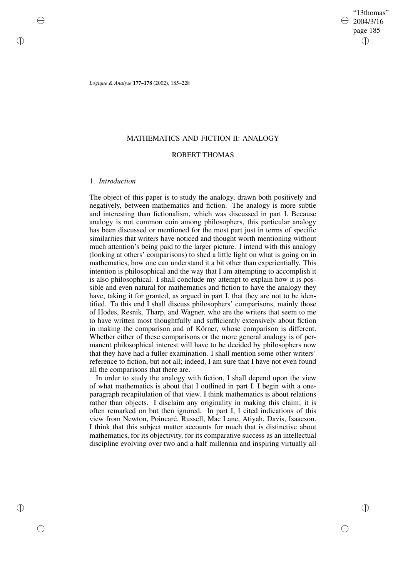"13thomas" 2004/3/16 page 185 ✐ ✐

✐

✐

*Logique & Analyse* **177–178** (2002), 185–228

# MATHEMATICS AND FICTION II: ANALOGY

# ROBERT THOMAS

## 1. *Introduction*

✐

✐

✐

✐

The object of this paper is to study the analogy, drawn both positively and negatively, between mathematics and fiction. The analogy is more subtle and interesting than fictionalism, which was discussed in part I. Because analogy is not common coin among philosophers, this particular analogy has been discussed or mentioned for the most part just in terms of specific similarities that writers have noticed and thought worth mentioning without much attention's being paid to the larger picture. I intend with this analogy (looking at others' comparisons) to shed a little light on what is going on in mathematics, how one can understand it a bit other than experientially. This intention is philosophical and the way that I am attempting to accomplish it is also philosophical. I shall conclude my attempt to explain how it is possible and even natural for mathematics and fiction to have the analogy they have, taking it for granted, as argued in part I, that they are not to be identified. To this end I shall discuss philosophers' comparisons, mainly those of Hodes, Resnik, Tharp, and Wagner, who are the writers that seem to me to have written most thoughtfully and sufficiently extensively about fiction in making the comparison and of Körner, whose comparison is different. Whether either of these comparisons or the more general analogy is of permanent philosophical interest will have to be decided by philosophers now that they have had a fuller examination. I shall mention some other writers' reference to fiction, but not all; indeed, I am sure that I have not even found all the comparisons that there are.

In order to study the analogy with fiction, I shall depend upon the view of what mathematics is about that I outlined in part I. I begin with a oneparagraph recapitulation of that view. I think mathematics is about relations rather than objects. I disclaim any originality in making this claim; it is often remarked on but then ignored. In part I, I cited indications of this view from Newton, Poincaré, Russell, Mac Lane, Atiyah, Davis, Isaacson. I think that this subject matter accounts for much that is distinctive about mathematics, for its objectivity, for its comparative success as an intellectual discipline evolving over two and a half millennia and inspiring virtually all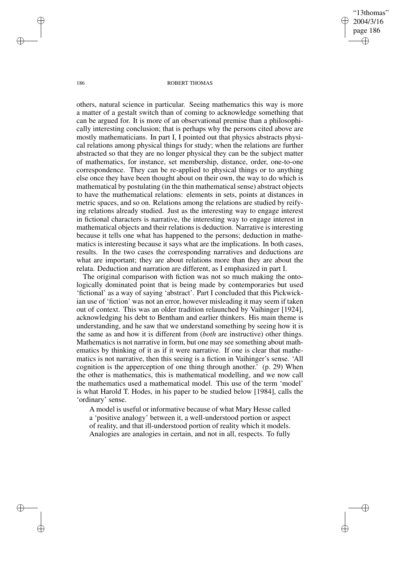"13thomas" 2004/3/16 page 186 ✐ ✐

✐

✐

#### 186 ROBERT THOMAS

others, natural science in particular. Seeing mathematics this way is more a matter of a gestalt switch than of coming to acknowledge something that can be argued for. It is more of an observational premise than a philosophically interesting conclusion; that is perhaps why the persons cited above are mostly mathematicians. In part I, I pointed out that physics abstracts physical relations among physical things for study; when the relations are further abstracted so that they are no longer physical they can be the subject matter of mathematics, for instance, set membership, distance, order, one-to-one correspondence. They can be re-applied to physical things or to anything else once they have been thought about on their own, the way to do which is mathematical by postulating (in the thin mathematical sense) abstract objects to have the mathematical relations: elements in sets, points at distances in metric spaces, and so on. Relations among the relations are studied by reifying relations already studied. Just as the interesting way to engage interest in fictional characters is narrative, the interesting way to engage interest in mathematical objects and their relations is deduction. Narrative is interesting because it tells one what has happened to the persons; deduction in mathematics is interesting because it says what are the implications. In both cases, results. In the two cases the corresponding narratives and deductions are what are important; they are about relations more than they are about the relata. Deduction and narration are different, as I emphasized in part I.

The original comparison with fiction was not so much making the ontologically dominated point that is being made by contemporaries but used 'fictional' as a way of saying 'abstract'. Part I concluded that this Pickwickian use of 'fiction' was not an error, however misleading it may seem if taken out of context. This was an older tradition relaunched by Vaihinger [1924], acknowledging his debt to Bentham and earlier thinkers. His main theme is understanding, and he saw that we understand something by seeing how it is the same as and how it is different from (*both* are instructive) other things. Mathematics is not narrative in form, but one may see something about mathematics by thinking of it as if it were narrative. If one is clear that mathematics is not narrative, then this seeing is a fiction in Vaihinger's sense. 'All cognition is the apperception of one thing through another.' (p. 29) When the other is mathematics, this is mathematical modelling, and we now call the mathematics used a mathematical model. This use of the term 'model' is what Harold T. Hodes, in his paper to be studied below [1984], calls the 'ordinary' sense.

A model is useful or informative because of what Mary Hesse called a 'positive analogy' between it, a well-understood portion or aspect of reality, and that ill-understood portion of reality which it models. Analogies are analogies in certain, and not in all, respects. To fully

✐

✐

✐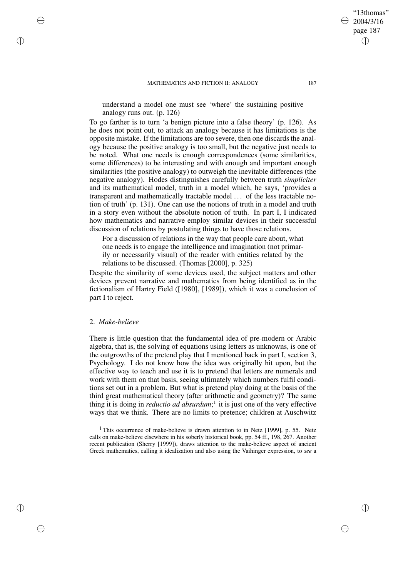understand a model one must see 'where' the sustaining positive analogy runs out. (p. 126)

To go farther is to turn 'a benign picture into a false theory' (p. 126). As he does not point out, to attack an analogy because it has limitations is the opposite mistake. If the limitations are too severe, then one discards the analogy because the positive analogy is too small, but the negative just needs to be noted. What one needs is enough correspondences (some similarities, some differences) to be interesting and with enough and important enough similarities (the positive analogy) to outweigh the inevitable differences (the negative analogy). Hodes distinguishes carefully between truth *simpliciter* and its mathematical model, truth in a model which, he says, 'provides a transparent and mathematically tractable model . . . of the less tractable notion of truth' (p. 131). One can use the notions of truth in a model and truth in a story even without the absolute notion of truth. In part I, I indicated how mathematics and narrative employ similar devices in their successful discussion of relations by postulating things to have those relations.

For a discussion of relations in the way that people care about, what one needs is to engage the intelligence and imagination (not primarily or necessarily visual) of the reader with entities related by the relations to be discussed. (Thomas [2000], p. 325)

Despite the similarity of some devices used, the subject matters and other devices prevent narrative and mathematics from being identified as in the fictionalism of Hartry Field ([1980], [1989]), which it was a conclusion of part I to reject.

# 2. *Make-believe*

✐

✐

✐

✐

There is little question that the fundamental idea of pre-modern or Arabic algebra, that is, the solving of equations using letters as unknowns, is one of the outgrowths of the pretend play that I mentioned back in part I, section 3, Psychology. I do not know how the idea was originally hit upon, but the effective way to teach and use it is to pretend that letters are numerals and work with them on that basis, seeing ultimately which numbers fulfil conditions set out in a problem. But what is pretend play doing at the basis of the third great mathematical theory (after arithmetic and geometry)? The same thing it is doing in *reductio ad absurdum*; 1 it is just one of the very effective ways that we think. There are no limits to pretence; children at Auschwitz

<sup>1</sup> This occurrence of make-believe is drawn attention to in Netz [1999], p. 55. Netz calls on make-believe elsewhere in his soberly historical book, pp. 54 ff., 198, 267. Another recent publication (Sherry [1999]), draws attention to the make-believe aspect of ancient Greek mathematics, calling it idealization and also using the Vaihinger expression, to *see* a

"13thomas" 2004/3/16 page 187

✐

✐

✐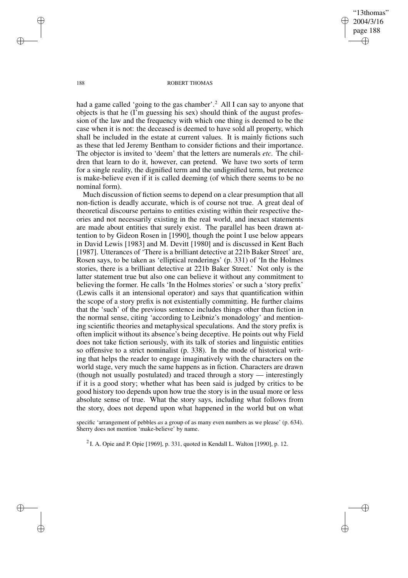"13thomas" 2004/3/16 page 188 ✐ ✐

✐

✐

### 188 ROBERT THOMAS

had a game called 'going to the gas chamber'.<sup>2</sup> All I can say to anyone that objects is that he (I'm guessing his sex) should think of the august profession of the law and the frequency with which one thing is deemed to be the case when it is not: the deceased is deemed to have sold all property, which shall be included in the estate at current values. It is mainly fictions such as these that led Jeremy Bentham to consider fictions and their importance. The objector is invited to 'deem' that the letters are numerals *etc.* The children that learn to do it, however, can pretend. We have two sorts of term for a single reality, the dignified term and the undignified term, but pretence is make-believe even if it is called deeming (of which there seems to be no nominal form).

Much discussion of fiction seems to depend on a clear presumption that all non-fiction is deadly accurate, which is of course not true. A great deal of theoretical discourse pertains to entities existing within their respective theories and not necessarily existing in the real world, and inexact statements are made about entities that surely exist. The parallel has been drawn attention to by Gideon Rosen in [1990], though the point I use below appears in David Lewis [1983] and M. Devitt [1980] and is discussed in Kent Bach [1987]. Utterances of 'There is a brilliant detective at 221b Baker Street' are, Rosen says, to be taken as 'elliptical renderings' (p. 331) of 'In the Holmes stories, there is a brilliant detective at 221b Baker Street.' Not only is the latter statement true but also one can believe it without any commitment to believing the former. He calls 'In the Holmes stories' or such a 'story prefix' (Lewis calls it an intensional operator) and says that quantification within the scope of a story prefix is not existentially committing. He further claims that the 'such' of the previous sentence includes things other than fiction in the normal sense, citing 'according to Leibniz's monadology' and mentioning scientific theories and metaphysical speculations. And the story prefix is often implicit without its absence's being deceptive. He points out why Field does not take fiction seriously, with its talk of stories and linguistic entities so offensive to a strict nominalist (p. 338). In the mode of historical writing that helps the reader to engage imaginatively with the characters on the world stage, very much the same happens as in fiction. Characters are drawn (though not usually postulated) and traced through a story — interestingly if it is a good story; whether what has been said is judged by critics to be good history too depends upon how true the story is in the usual more or less absolute sense of true. What the story says, including what follows from the story, does not depend upon what happened in the world but on what

specific 'arrangement of pebbles *as* a group of as many even numbers as we please' (p. 634). Sherry does not mention 'make-believe' by name.

<sup>2</sup> I. A. Opie and P. Opie [1969], p. 331, quoted in Kendall L. Walton [1990], p. 12.

✐

✐

✐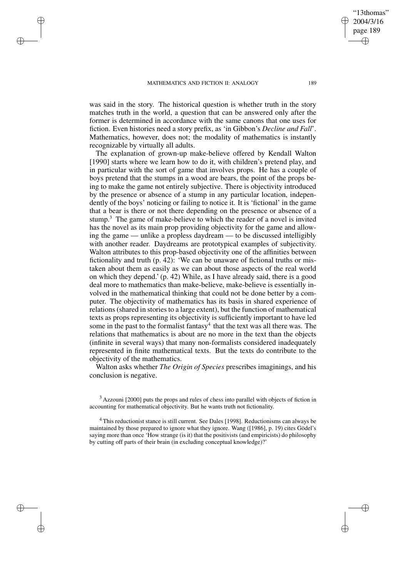✐

✐

✐

✐

was said in the story. The historical question is whether truth in the story matches truth in the world, a question that can be answered only after the former is determined in accordance with the same canons that one uses for fiction. Even histories need a story prefix, as 'in Gibbon's *Decline and Fall*'. Mathematics, however, does not; the modality of mathematics is instantly recognizable by virtually all adults.

The explanation of grown-up make-believe offered by Kendall Walton [1990] starts where we learn how to do it, with children's pretend play, and in particular with the sort of game that involves props. He has a couple of boys pretend that the stumps in a wood are bears, the point of the props being to make the game not entirely subjective. There is objectivity introduced by the presence or absence of a stump in any particular location, independently of the boys' noticing or failing to notice it. It is 'fictional' in the game that a bear is there or not there depending on the presence or absence of a stump.<sup>3</sup> The game of make-believe to which the reader of a novel is invited has the novel as its main prop providing objectivity for the game and allowing the game — unlike a propless daydream — to be discussed intelligibly with another reader. Daydreams are prototypical examples of subjectivity. Walton attributes to this prop-based objectivity one of the affinities between fictionality and truth (p. 42): 'We can be unaware of fictional truths or mistaken about them as easily as we can about those aspects of the real world on which they depend.' (p. 42) While, as I have already said, there is a good deal more to mathematics than make-believe, make-believe is essentially involved in the mathematical thinking that could not be done better by a computer. The objectivity of mathematics has its basis in shared experience of relations (shared in stories to a large extent), but the function of mathematical texts as props representing its objectivity is sufficiently important to have led some in the past to the formalist fantasy<sup>4</sup> that the text was all there was. The relations that mathematics is about are no more in the text than the objects (infinite in several ways) that many non-formalists considered inadequately represented in finite mathematical texts. But the texts do contribute to the objectivity of the mathematics.

Walton asks whether *The Origin of Species* prescribes imaginings, and his conclusion is negative.

"13thomas" 2004/3/16 page 189

✐

✐

✐

<sup>&</sup>lt;sup>3</sup> Azzouni [2000] puts the props and rules of chess into parallel with objects of fiction in accounting for mathematical objectivity. But he wants truth not fictionality.

<sup>4</sup> This reductionist stance is still current. See Dales [1998]. Reductionisms can always be maintained by those prepared to ignore what they ignore. Wang ([1986], p. 19) cites Gödel's saying more than once 'How strange (is it) that the positivists (and empiricists) do philosophy by cutting off parts of their brain (in excluding conceptual knowledge)?'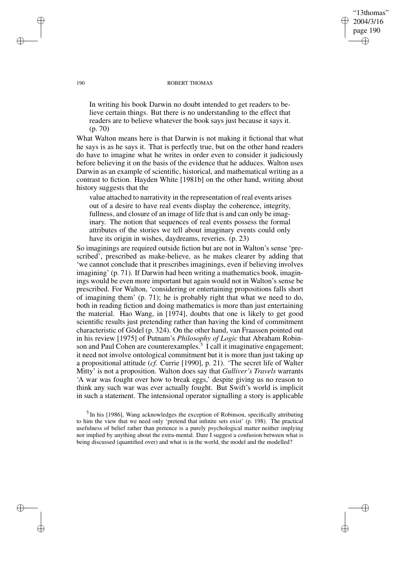# "13thomas" 2004/3/16 page 190 ✐ ✐

✐

✐

#### 190 ROBERT THOMAS

In writing his book Darwin no doubt intended to get readers to believe certain things. But there is no understanding to the effect that readers are to believe whatever the book says just because it says it. (p. 70)

What Walton means here is that Darwin is not making it fictional that what he says is as he says it. That is perfectly true, but on the other hand readers do have to imagine what he writes in order even to consider it judiciously before believing it on the basis of the evidence that he adduces. Walton uses Darwin as an example of scientific, historical, and mathematical writing as a contrast to fiction. Hayden White [1981b] on the other hand, writing about history suggests that the

value attached to narrativity in the representation of real events arises out of a desire to have real events display the coherence, integrity, fullness, and closure of an image of life that is and can only be imaginary. The notion that sequences of real events possess the formal attributes of the stories we tell about imaginary events could only have its origin in wishes, daydreams, reveries. (p. 23)

So imaginings are required outside fiction but are not in Walton's sense 'prescribed', prescribed as make-believe, as he makes clearer by adding that 'we cannot conclude that it prescribes imaginings, even if believing involves imagining' (p. 71). If Darwin had been writing a mathematics book, imaginings would be even more important but again would not in Walton's sense be prescribed. For Walton, 'considering or entertaining propositions falls short of imagining them' (p. 71); he is probably right that what we need to do, both in reading fiction and doing mathematics is more than just entertaining the material. Hao Wang, in [1974], doubts that one is likely to get good scientific results just pretending rather than having the kind of commitment characteristic of Gödel (p. 324). On the other hand, van Fraassen pointed out in his review [1975] of Putnam's *Philosophy of Logic* that Abraham Robinson and Paul Cohen are counterexamples.<sup>5</sup> I call it imaginative engagement; it need not involve ontological commitment but it is more than just taking up a propositional attitude (*cf.* Currie [1990], p. 21). 'The secret life of Walter Mitty' is not a proposition. Walton does say that *Gulliver's Travels* warrants 'A war was fought over how to break eggs,' despite giving us no reason to think any such war was ever actually fought. But Swift's world is implicit in such a statement. The intensional operator signalling a story is applicable

<sup>5</sup> In his [1986], Wang acknowledges the exception of Robinson, specifically attributing to him the view that we need only 'pretend that infinite sets exist' (p. 198). The practical usefulness of belief rather than pretence is a purely psychological matter neither implying nor implied by anything about the extra-mental. Dare I suggest a confusion between what is being discussed (quantified over) and what is in the world, the model and the modelled?

✐

✐

✐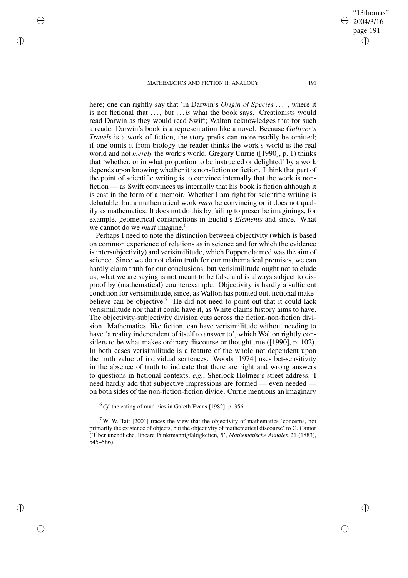✐

✐

✐

✐

here; one can rightly say that 'in Darwin's *Origin of Species* . . .', where it is not fictional that ..., but ... *is* what the book says. Creationists would read Darwin as they would read Swift; Walton acknowledges that for such a reader Darwin's book is a representation like a novel. Because *Gulliver's Travels* is a work of fiction, the story prefix can more readily be omitted; if one omits it from biology the reader thinks the work's world is the real world and not *merely* the work's world. Gregory Currie ([1990], p. 1) thinks that 'whether, or in what proportion to be instructed or delighted' by a work depends upon knowing whether it is non-fiction or fiction. I think that part of the point of scientific writing is to convince internally that the work is nonfiction — as Swift convinces us internally that his book is fiction although it is cast in the form of a memoir. Whether I am right for scientific writing is debatable, but a mathematical work *must* be convincing or it does not qualify as mathematics. It does not do this by failing to prescribe imaginings, for example, geometrical constructions in Euclid's *Elements* and since. What we cannot do we *must* imagine.<sup>6</sup>

Perhaps I need to note the distinction between objectivity (which is based on common experience of relations as in science and for which the evidence is intersubjectivity) and verisimilitude, which Popper claimed was the aim of science. Since we do not claim truth for our mathematical premises, we can hardly claim truth for our conclusions, but verisimilitude ought not to elude us; what we are saying is not meant to be false and is always subject to disproof by (mathematical) counterexample. Objectivity is hardly a sufficient condition for verisimilitude, since, as Walton has pointed out, fictional makebelieve can be objective.<sup>7</sup> He did not need to point out that it could lack verisimilitude nor that it could have it, as White claims history aims to have. The objectivity-subjectivity division cuts across the fiction-non-fiction division. Mathematics, like fiction, can have verisimilitude without needing to have 'a reality independent of itself to answer to', which Walton rightly considers to be what makes ordinary discourse or thought true ([1990], p. 102). In both cases verisimilitude is a feature of the whole not dependent upon the truth value of individual sentences. Woods [1974] uses bet-sensitivity in the absence of truth to indicate that there are right and wrong answers to questions in fictional contexts, *e.g.*, Sherlock Holmes's street address. I need hardly add that subjective impressions are formed — even needed on both sides of the non-fiction-fiction divide. Currie mentions an imaginary

<sup>6</sup> *Cf.* the eating of mud pies in Gareth Evans [1982], p. 356.

 $7$  W. W. Tait [2001] traces the view that the objectivity of mathematics 'concerns, not primarily the existence of objects, but the objectivity of mathematical discourse' to G. Cantor ('Über unendliche, lineare Punktmannigfaltigkeiten, 5', *Mathematische Annalen* 21 (1883), 545–586).

"13thomas" 2004/3/16 page 191

✐

✐

✐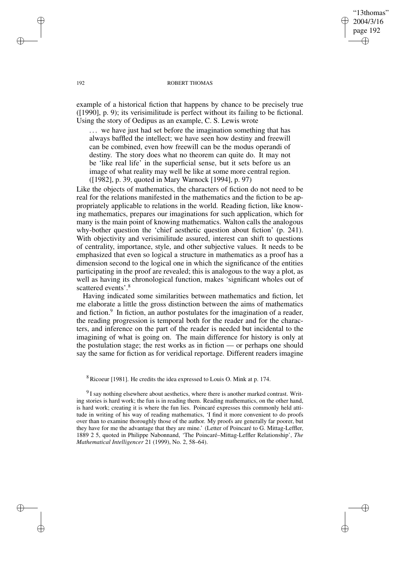# "13thomas" 2004/3/16 page 192 ✐ ✐

✐

✐

#### 192 ROBERT THOMAS

example of a historical fiction that happens by chance to be precisely true ([1990], p. 9); its verisimilitude is perfect without its failing to be fictional. Using the story of Oedipus as an example, C. S. Lewis wrote

... we have just had set before the imagination something that has always baffled the intellect; we have seen how destiny and freewill can be combined, even how freewill can be the modus operandi of destiny. The story does what no theorem can quite do. It may not be 'like real life' in the superficial sense, but it sets before us an image of what reality may well be like at some more central region. ([1982], p. 39, quoted in Mary Warnock [1994], p. 97)

Like the objects of mathematics, the characters of fiction do not need to be real for the relations manifested in the mathematics and the fiction to be appropriately applicable to relations in the world. Reading fiction, like knowing mathematics, prepares our imaginations for such application, which for many is the main point of knowing mathematics. Walton calls the analogous why-bother question the 'chief aesthetic question about fiction' (p. 241). With objectivity and verisimilitude assured, interest can shift to questions of centrality, importance, style, and other subjective values. It needs to be emphasized that even so logical a structure in mathematics as a proof has a dimension second to the logical one in which the significance of the entities participating in the proof are revealed; this is analogous to the way a plot, as well as having its chronological function, makes 'significant wholes out of scattered events'.<sup>8</sup>

Having indicated some similarities between mathematics and fiction, let me elaborate a little the gross distinction between the aims of mathematics and fiction.<sup>9</sup> In fiction, an author postulates for the imagination of a reader, the reading progression is temporal both for the reader and for the characters, and inference on the part of the reader is needed but incidental to the imagining of what is going on. The main difference for history is only at the postulation stage; the rest works as in fiction — or perhaps one should say the same for fiction as for veridical reportage. Different readers imagine

<sup>8</sup> Ricoeur [1981]. He credits the idea expressed to Louis O. Mink at p. 174.

 $91$  say nothing elsewhere about aesthetics, where there is another marked contrast. Writing stories is hard work; the fun is in reading them. Reading mathematics, on the other hand, is hard work; creating it is where the fun lies. Poincaré expresses this commonly held attitude in writing of his way of reading mathematics, 'I find it more convenient to do proofs over than to examine thoroughly those of the author. My proofs are generally far poorer, but they have for me the advantage that they are mine.' (Letter of Poincaré to G. Mittag-Leffler, 1889 2 5, quoted in Philippe Nabonnand, 'The Poincaré–Mittag-Leffler Relationship', *The Mathematical Intelligencer* 21 (1999), No. 2, 58–64).

✐

✐

✐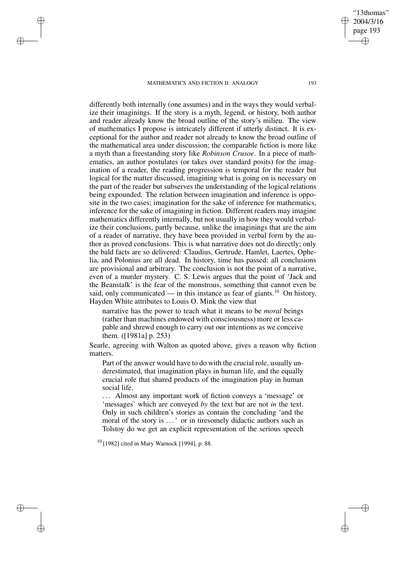✐

✐

✐

✐

differently both internally (one assumes) and in the ways they would verbalize their imaginings. If the story is a myth, legend, or history, both author and reader already know the broad outline of the story's milieu. The view of mathematics I propose is intricately different if utterly distinct. It is exceptional for the author and reader not already to know the broad outline of the mathematical area under discussion; the comparable fiction is more like a myth than a freestanding story like *Robinson Crusoe*. In a piece of mathematics, an author postulates (or takes over standard posits) for the imagination of a reader, the reading progression is temporal for the reader but logical for the matter discussed, imagining what is going on is necessary on the part of the reader but subserves the understanding of the logical relations being expounded. The relation between imagination and inference is opposite in the two cases; imagination for the sake of inference for mathematics, inference for the sake of imagining in fiction. Different readers may imagine mathematics differently internally, but not usually in how they would verbalize their conclusions, partly because, unlike the imaginings that are the aim of a reader of narrative, they have been provided in verbal form by the author as proved conclusions. This is what narrative does not do directly; only the bald facts are so delivered: Claudius, Gertrude, Hamlet, Laertes, Ophelia, and Polonius are all dead. In history, time has passed; all conclusions are provisional and arbitrary. The conclusion is not the point of a narrative, even of a murder mystery. C. S. Lewis argues that the point of 'Jack and the Beanstalk' is the fear of the monstrous, something that cannot even be said, only communicated — in this instance as fear of giants.<sup>10</sup> On history, Hayden White attributes to Louis O. Mink the view that

narrative has the power to teach what it means to be *moral* beings (rather than machines endowed with consciousness) more or less capable and shrewd enough to carry out our intentions as we conceive them. ([1981a] p. 253)

Searle, agreeing with Walton as quoted above, gives a reason why fiction matters.

Part of the answer would have to do with the crucial role, usually underestimated, that imagination plays in human life, and the equally crucial role that shared products of the imagination play in human social life.

... Almost any important work of fiction conveys a 'message' or 'messages' which are conveyed *by* the text but are not *in* the text. Only in such children's stories as contain the concluding 'and the moral of the story is . . .' or in tiresomely didactic authors such as Tolstoy do we get an explicit representation of the serious speech

 $10$  [1982] cited in Mary Warnock [1994], p. 88.

"13thomas" 2004/3/16 page 193

✐

✐

✐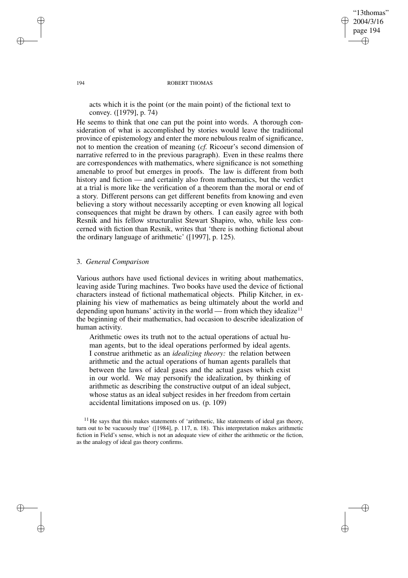"13thomas" 2004/3/16 page 194 ✐ ✐

✐

✐

#### 194 ROBERT THOMAS

acts which it is the point (or the main point) of the fictional text to convey. ([1979], p. 74)

He seems to think that one can put the point into words. A thorough consideration of what is accomplished by stories would leave the traditional province of epistemology and enter the more nebulous realm of significance, not to mention the creation of meaning (*cf.* Ricoeur's second dimension of narrative referred to in the previous paragraph). Even in these realms there are correspondences with mathematics, where significance is not something amenable to proof but emerges in proofs. The law is different from both history and fiction — and certainly also from mathematics, but the verdict at a trial is more like the verification of a theorem than the moral or end of a story. Different persons can get different benefits from knowing and even believing a story without necessarily accepting or even knowing all logical consequences that might be drawn by others. I can easily agree with both Resnik and his fellow structuralist Stewart Shapiro, who, while less concerned with fiction than Resnik, writes that 'there is nothing fictional about the ordinary language of arithmetic' ([1997], p. 125).

## 3. *General Comparison*

Various authors have used fictional devices in writing about mathematics, leaving aside Turing machines. Two books have used the device of fictional characters instead of fictional mathematical objects. Philip Kitcher, in explaining his view of mathematics as being ultimately about the world and depending upon humans' activity in the world — from which they idealize<sup>11</sup> the beginning of their mathematics, had occasion to describe idealization of human activity.

Arithmetic owes its truth not to the actual operations of actual human agents, but to the ideal operations performed by ideal agents. I construe arithmetic as an *idealizing theory:* the relation between arithmetic and the actual operations of human agents parallels that between the laws of ideal gases and the actual gases which exist in our world. We may personify the idealization, by thinking of arithmetic as describing the constructive output of an ideal subject, whose status as an ideal subject resides in her freedom from certain accidental limitations imposed on us. (p. 109)

✐

✐

✐

 $11$  He says that this makes statements of 'arithmetic, like statements of ideal gas theory, turn out to be vacuously true' ([1984], p. 117, n. 18). This interpretation makes arithmetic fiction in Field's sense, which is not an adequate view of either the arithmetic or the fiction, as the analogy of ideal gas theory confirms.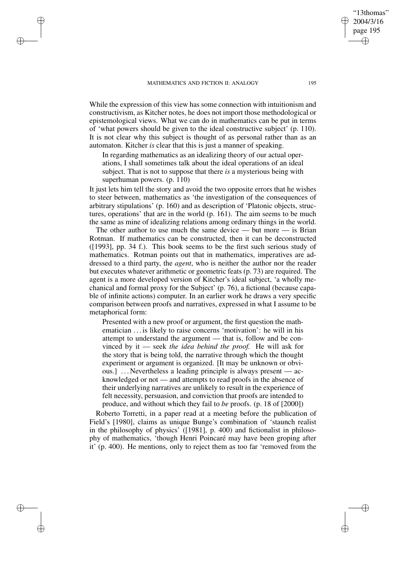✐

✐

✐

✐

While the expression of this view has some connection with intuitionism and constructivism, as Kitcher notes, he does not import those methodological or epistemological views. What we can do in mathematics can be put in terms of 'what powers should be given to the ideal constructive subject' (p. 110). It is not clear why this subject is thought of as personal rather than as an automaton. Kitcher *is* clear that this is just a manner of speaking.

In regarding mathematics as an idealizing theory of our actual operations, I shall sometimes talk about the ideal operations of an ideal subject. That is not to suppose that there *is* a mysterious being with superhuman powers. (p. 110)

It just lets him tell the story and avoid the two opposite errors that he wishes to steer between, mathematics as 'the investigation of the consequences of arbitrary stipulations' (p. 160) and as description of 'Platonic objects, structures, operations' that are in the world (p. 161). The aim seems to be much the same as mine of idealizing relations among ordinary things in the world.

The other author to use much the same device — but more — is Brian Rotman. If mathematics can be constructed, then it can be deconstructed ([1993], pp. 34 f.). This book seems to be the first such serious study of mathematics. Rotman points out that in mathematics, imperatives are addressed to a third party, the *agent*, who is neither the author nor the reader but executes whatever arithmetic or geometric feats (p. 73) are required. The agent is a more developed version of Kitcher's ideal subject, 'a wholly mechanical and formal proxy for the Subject' (p. 76), a fictional (because capable of infinite actions) computer. In an earlier work he draws a very specific comparison between proofs and narratives, expressed in what I assume to be metaphorical form:

Presented with a new proof or argument, the first question the mathematician . . . is likely to raise concerns 'motivation': he will in his attempt to understand the argument — that is, follow and be convinced by it — seek *the idea behind the proof.* He will ask for the story that is being told, the narrative through which the thought experiment or argument is organized. [It may be unknown or obvious.] ... Nevertheless a leading principle is always present — acknowledged or not — and attempts to read proofs in the absence of their underlying narratives are unlikely to result in the experience of felt necessity, persuasion, and conviction that proofs are intended to produce, and without which they fail to *be* proofs. (p. 18 of [2000])

Roberto Torretti, in a paper read at a meeting before the publication of Field's [1980], claims as unique Bunge's combination of 'staunch realist in the philosophy of physics' ([1981], p. 400) and fictionalist in philosophy of mathematics, 'though Henri Poincaré may have been groping after it' (p. 400). He mentions, only to reject them as too far 'removed from the

✐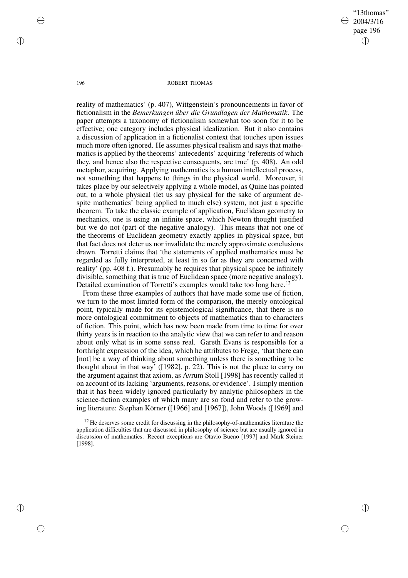"13thomas" 2004/3/16 page 196 ✐ ✐

✐

✐

#### 196 ROBERT THOMAS

reality of mathematics' (p. 407), Wittgenstein's pronouncements in favor of fictionalism in the *Bemerkungen über die Grundlagen der Mathematik*. The paper attempts a taxonomy of fictionalism somewhat too soon for it to be effective; one category includes physical idealization. But it also contains a discussion of application in a fictionalist context that touches upon issues much more often ignored. He assumes physical realism and says that mathematics is applied by the theorems' antecedents' acquiring 'referents of which they, and hence also the respective consequents, are true' (p. 408). An odd metaphor, acquiring. Applying mathematics is a human intellectual process, not something that happens to things in the physical world. Moreover, it takes place by our selectively applying a whole model, as Quine has pointed out, to a whole physical (let us say physical for the sake of argument despite mathematics' being applied to much else) system, not just a specific theorem. To take the classic example of application, Euclidean geometry to mechanics, one is using an infinite space, which Newton thought justified but we do not (part of the negative analogy). This means that not one of the theorems of Euclidean geometry exactly applies in physical space, but that fact does not deter us nor invalidate the merely approximate conclusions drawn. Torretti claims that 'the statements of applied mathematics must be regarded as fully interpreted, at least in so far as they are concerned with reality' (pp. 408 f.). Presumably he requires that physical space be infinitely divisible, something that is true of Euclidean space (more negative analogy). Detailed examination of Torretti's examples would take too long here.<sup>12</sup>

From these three examples of authors that have made some use of fiction, we turn to the most limited form of the comparison, the merely ontological point, typically made for its epistemological significance, that there is no more ontological commitment to objects of mathematics than to characters of fiction. This point, which has now been made from time to time for over thirty years is in reaction to the analytic view that we can refer to and reason about only what is in some sense real. Gareth Evans is responsible for a forthright expression of the idea, which he attributes to Frege, 'that there can [not] be a way of thinking about something unless there is something to be thought about in that way' ([1982], p. 22). This is not the place to carry on the argument against that axiom, as Avrum Stoll [1998] has recently called it on account of its lacking 'arguments, reasons, or evidence'. I simply mention that it has been widely ignored particularly by analytic philosophers in the science-fiction examples of which many are so fond and refer to the growing literature: Stephan Körner ([1966] and [1967]), John Woods ([1969] and

✐

✐

✐

 $12$  He deserves some credit for discussing in the philosophy-of-mathematics literature the application difficulties that are discussed in philosophy of science but are usually ignored in discussion of mathematics. Recent exceptions are Otavio Bueno [1997] and Mark Steiner [1998].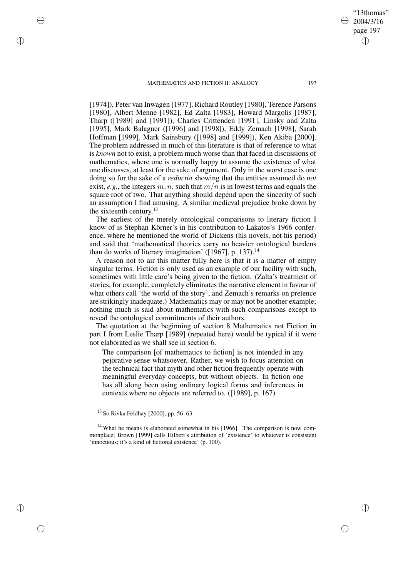✐

✐

✐

✐

[1974]), Peter van Inwagen [1977], Richard Routley [1980], Terence Parsons [1980], Albert Menne [1982], Ed Zalta [1983], Howard Margolis [1987], Tharp ([1989] and [1991]), Charles Crittenden [1991], Linsky and Zalta [1995], Mark Balaguer ([1996] and [1998]), Eddy Zemach [1998], Sarah Hoffman [1999], Mark Sainsbury ([1998] and [1999]), Ken Akiba [2000]. The problem addressed in much of this literature is that of reference to what is *known* not to exist, a problem much worse than that faced in discussions of mathematics, where one is normally happy to assume the existence of what one discusses, at least for the sake of argument. Only in the worst case is one doing so for the sake of a *reductio* showing that the entities assumed do *not* exist, *e.g.*, the integers m, n, such that  $m/n$  is in lowest terms and equals the square root of two. That anything should depend upon the sincerity of such an assumption I find amusing. A similar medieval prejudice broke down by the sixteenth century.<sup>13</sup>

The earliest of the merely ontological comparisons to literary fiction I know of is Stephan Körner's in his contribution to Lakatos's 1966 conference, where he mentioned the world of Dickens (his novels, not his period) and said that 'mathematical theories carry no heavier ontological burdens than do works of literary imagination' ([1967], p. 137).<sup>14</sup>

A reason not to air this matter fully here is that it is a matter of empty singular terms. Fiction is only used as an example of our facility with such, sometimes with little care's being given to the fiction. (Zalta's treatment of stories, for example, completely eliminates the narrative element in favour of what others call 'the world of the story', and Zemach's remarks on pretence are strikingly inadequate.) Mathematics may or may not be another example; nothing much is said about mathematics with such comparisons except to reveal the ontological commitments of their authors.

The quotation at the beginning of section 8 Mathematics not Fiction in part I from Leslie Tharp [1989] (repeated here) would be typical if it were not elaborated as we shall see in section 6.

The comparison [of mathematics to fiction] is not intended in any pejorative sense whatsoever. Rather, we wish to focus attention on the technical fact that myth and other fiction frequently operate with meaningful everyday concepts, but without objects. In fiction one has all along been using ordinary logical forms and inferences in contexts where no objects are referred to. ([1989], p. 167)

 $14$  What he means is elaborated somewhat in his [1966]. The comparison is now commonplace; Brown [1999] calls Hilbert's attribution of 'existence' to whatever is consistent 'innocuous; it's a kind of fictional existence' (p. 100).

"13thomas" 2004/3/16 page 197

✐

✐

✐

<sup>13</sup> So Rivka Feldhay [2000], pp. 56–63.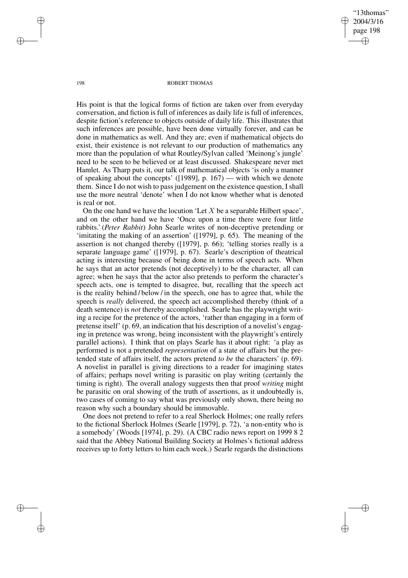"13thomas" 2004/3/16 page 198 ✐ ✐

✐

✐

#### 198 ROBERT THOMAS

His point is that the logical forms of fiction are taken over from everyday conversation, and fiction is full of inferences as daily life is full of inferences, despite fiction's reference to objects outside of daily life. This illustrates that such inferences are possible, have been done virtually forever, and can be done in mathematics as well. And they are; even if mathematical objects do exist, their existence is not relevant to our production of mathematics any more than the population of what Routley/Sylvan called 'Meinong's jungle' need to be seen to be believed or at least discussed. Shakespeare never met Hamlet. As Tharp puts it, our talk of mathematical objects 'is only a manner of speaking about the concepts' ([1989], p. 167) — with which we denote them. Since I do not wish to pass judgement on the existence question, I shall use the more neutral 'denote' when I do not know whether what is denoted is real or not.

On the one hand we have the locution 'Let  $X$  be a separable Hilbert space', and on the other hand we have 'Once upon a time there were four little rabbits.' (*Peter Rabbit*) John Searle writes of non-deceptive pretending or 'imitating the making of an assertion' ([1979], p. 65). The meaning of the assertion is not changed thereby ([1979], p. 66); 'telling stories really is a separate language game' ([1979], p. 67). Searle's description of theatrical acting is interesting because of being done in terms of speech acts. When he says that an actor pretends (not deceptively) to be the character, all can agree; when he says that the actor also pretends to perform the character's speech acts, one is tempted to disagree, but, recalling that the speech act is the reality behind / below / in the speech, one has to agree that, while the speech is *really* delivered, the speech act accomplished thereby (think of a death sentence) is *not* thereby accomplished. Searle has the playwright writing a recipe for the pretence of the actors, 'rather than engaging in a form of pretense itself' (p. 69, an indication that his description of a novelist's engaging in pretence was wrong, being inconsistent with the playwright's entirely parallel actions). I think that on plays Searle has it about right: 'a play as performed is not a pretended *representation* of a state of affairs but the pretended state of affairs itself, the actors pretend *to be* the characters' (p. 69). A novelist in parallel is giving directions to a reader for imagining states of affairs; perhaps novel writing is parasitic on play writing (certainly the timing is right). The overall analogy suggests then that proof *writing* might be parasitic on oral showing of the truth of assertions, as it undoubtedly is, two cases of coming to say what was previously only shown, there being no reason why such a boundary should be immovable.

One does not pretend to refer to a real Sherlock Holmes; one really refers to the fictional Sherlock Holmes (Searle [1979], p. 72), 'a non-entity who is a somebody' (Woods [1974], p. 29). (A CBC radio news report on 1999 8 2 said that the Abbey National Building Society at Holmes's fictional address receives up to forty letters to him each week.) Searle regards the distinctions

✐

✐

✐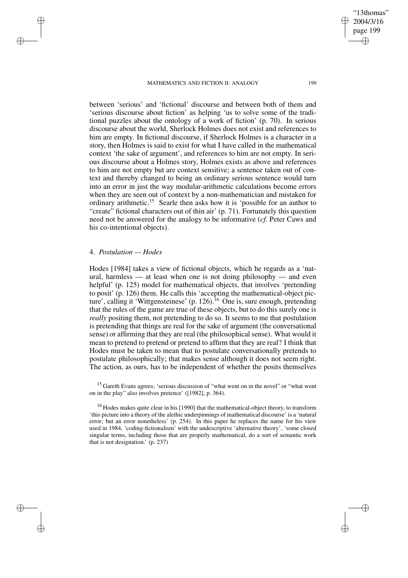between 'serious' and 'fictional' discourse and between both of them and 'serious discourse about fiction' as helping 'us to solve some of the traditional puzzles about the ontology of a work of fiction' (p. 70). In serious discourse about the world, Sherlock Holmes does not exist and references to him are empty. In fictional discourse, if Sherlock Holmes is a character in a story, then Holmes is said to exist for what I have called in the mathematical context 'the sake of argument', and references to him are not empty. In serious discourse about a Holmes story, Holmes exists as above and references to him are not empty but are context sensitive; a sentence taken out of context and thereby changed to being an ordinary serious sentence would turn into an error in just the way modular-arithmetic calculations become errors when they are seen out of context by a non-mathematician and mistaken for ordinary arithmetic.<sup>15</sup> Searle then asks how it is 'possible for an author to "create" fictional characters out of thin air' (p. 71). Fortunately this question need not be answered for the analogy to be informative (*cf.* Peter Caws and his co-intentional objects).

# 4. *Postulation — Hodes*

✐

✐

✐

✐

Hodes [1984] takes a view of fictional objects, which he regards as a 'natural, harmless — at least when one is not doing philosophy — and even helpful' (p. 125) model for mathematical objects, that involves 'pretending to posit' (p. 126) them. He calls this 'accepting the mathematical-object picture', calling it 'Wittgensteinese' (p. 126).<sup>16</sup> One is, sure enough, pretending that the rules of the game are true of these objects, but to do this surely one is *really* positing them, not pretending to do so. It seems to me that postulation is pretending that things are real for the sake of argument (the conversational sense) or affirming that they are real (the philosophical sense). What would it mean to pretend to pretend or pretend to affirm that they are real? I think that Hodes must be taken to mean that to postulate conversationally pretends to postulate philosophically; that makes sense although it does not seem right. The action, as ours, has to be independent of whether the posits themselves

<sup>15</sup> Gareth Evans agrees; 'serious discussion of "what went on in the novel" or "what went on in the play" also involves pretence' ([1982], p. 364).

<sup>16</sup> Hodes makes quite clear in his [1990] that the mathematical-object theory, to transform 'this picture into a theory of the alethic underpinnings of mathematical discourse' is a 'natural error; but an error nonetheless' (p. 254). In this paper he replaces the name for his view used in 1984, 'coding-fictionalism' with the undescriptive 'alternative theory', 'some closed singular terms, including those that are properly mathematical, do a sort of semantic work that is not designation.' (p. 237)

"13thomas" 2004/3/16 page 199

✐

✐

✐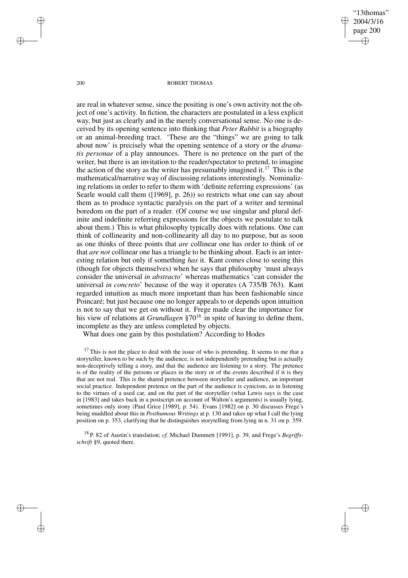"13thomas" 2004/3/16 page 200 ✐ ✐

✐

✐

#### 200 ROBERT THOMAS

are real in whatever sense, since the positing is one's own activity not the object of one's activity. In fiction, the characters are postulated in a less explicit way, but just as clearly and in the merely conversational sense. No one is deceived by its opening sentence into thinking that *Peter Rabbit* is a biography or an animal-breeding tract. 'These are the "things" we are going to talk about now' is precisely what the opening sentence of a story or the *dramatis personae* of a play announces. There is no pretence on the part of the writer, but there is an invitation to the reader/spectator to pretend, to imagine the action of the story as the writer has presumably imagined it.<sup>17</sup> This is the mathematical/narrative way of discussing relations interestingly. Nominalizing relations in order to refer to them with 'definite referring expressions' (as Searle would call them ([1969], p. 26)) so restricts what one can say about them as to produce syntactic paralysis on the part of a writer and terminal boredom on the part of a reader. (Of course we use singular and plural definite and indefinite referring expressions for the objects we postulate to talk about them.) This is what philosophy typically does with relations. One can think of collinearity and non-collinearity all day to no purpose, but as soon as one thinks of three points that *are* collinear one has order to think of or that *are not* collinear one has a triangle to be thinking about. Each is an interesting relation but only if something *has* it. Kant comes close to seeing this (though for objects themselves) when he says that philosophy 'must always consider the universal *in abstracto*' whereas mathematics 'can consider the universal *in concreto*' because of the way it operates (A 735/B 763). Kant regarded intuition as much more important than has been fashionable since Poincaré; but just because one no longer appeals to or depends upon intuition is not to say that we get on without it. Frege made clear the importance for his view of relations at *Grundlagen* §70<sup>18</sup> in spite of having to define them, incomplete as they are unless completed by objects.

What does one gain by this postulation? According to Hodes

 $17$  This is not the place to deal with the issue of who is pretending. It seems to me that a storyteller, known to be such by the audience, is not independently pretending but is actually non-deceptively telling a story, and that the audience are listening to a story. The pretence is of the reality of the persons or places in the story or of the events described if it is they that are not real. This is the shared pretence between storyteller and audience, an important social practice. Independent pretence on the part of the audience is cynicism, as in listening to the virtues of a used car, and on the part of the storyteller (what Lewis says is the case in [1983] and takes back in a postscript on account of Walton's arguments) is usually lying, sometimes only irony (Paul Grice [1989], p. 54). Evans [1982] on p. 30 discusses Frege's being muddled about this in *Posthumous Writings* at p. 130 and takes up what I call the lying position on p. 353, clarifying that he distinguishes storytelling from lying in n. 31 on p. 359.

<sup>18</sup> P. 82 of Austin's translation; *cf.* Michael Dummett [1991], p. 39, and Frege's *Begriffsschrift* §9, quoted there.

✐

✐

✐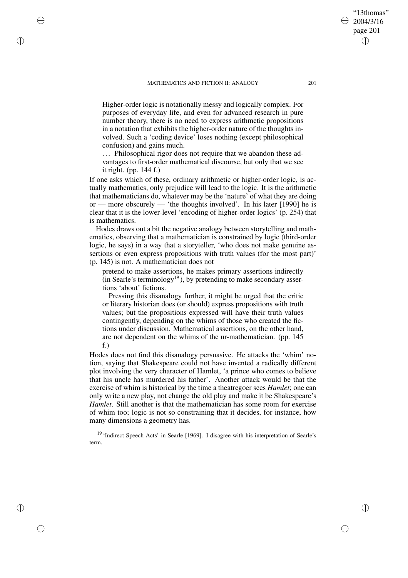✐

✐

✐

✐

Higher-order logic is notationally messy and logically complex. For purposes of everyday life, and even for advanced research in pure number theory, there is no need to express arithmetic propositions in a notation that exhibits the higher-order nature of the thoughts involved. Such a 'coding device' loses nothing (except philosophical confusion) and gains much.

... Philosophical rigor does not require that we abandon these advantages to first-order mathematical discourse, but only that we see it right. (pp. 144 f.)

If one asks which of these, ordinary arithmetic or higher-order logic, is actually mathematics, only prejudice will lead to the logic. It is the arithmetic that mathematicians do, whatever may be the 'nature' of what they are doing or — more obscurely — 'the thoughts involved'. In his later [1990] he is clear that it is the lower-level 'encoding of higher-order logics' (p. 254) that is mathematics.

Hodes draws out a bit the negative analogy between storytelling and mathematics, observing that a mathematician is constrained by logic (third-order logic, he says) in a way that a storyteller, 'who does not make genuine assertions or even express propositions with truth values (for the most part)' (p. 145) is not. A mathematician does not

pretend to make assertions, he makes primary assertions indirectly (in Searle's terminology<sup>19</sup>), by pretending to make secondary assertions 'about' fictions.

Pressing this disanalogy further, it might be urged that the critic or literary historian does (or should) express propositions with truth values; but the propositions expressed will have their truth values contingently, depending on the whims of those who created the fictions under discussion. Mathematical assertions, on the other hand, are not dependent on the whims of the ur-mathematician. (pp. 145 f.)

Hodes does not find this disanalogy persuasive. He attacks the 'whim' notion, saying that Shakespeare could not have invented a radically different plot involving the very character of Hamlet, 'a prince who comes to believe that his uncle has murdered his father'. Another attack would be that the exercise of whim is historical by the time a theatregoer sees *Hamlet*; one can only write a new play, not change the old play and make it be Shakespeare's *Hamlet*. Still another is that the mathematician has some room for exercise of whim too; logic is not so constraining that it decides, for instance, how many dimensions a geometry has.

<sup>19</sup> 'Indirect Speech Acts' in Searle [1969]. I disagree with his interpretation of Searle's term.

"13thomas" 2004/3/16 page 201

✐

✐

✐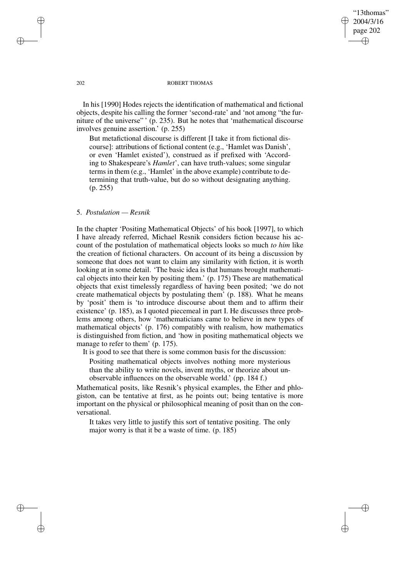"13thomas" 2004/3/16 page 202 ✐ ✐

✐

✐

### 202 ROBERT THOMAS

In his [1990] Hodes rejects the identification of mathematical and fictional objects, despite his calling the former 'second-rate' and 'not among "the furniture of the universe" ' (p. 235). But he notes that 'mathematical discourse involves genuine assertion.' (p. 255)

But metafictional discourse is different [I take it from fictional discourse]: attributions of fictional content (e.g., 'Hamlet was Danish', or even 'Hamlet existed'), construed as if prefixed with 'According to Shakespeare's *Hamlet*', can have truth-values; some singular terms in them (e.g., 'Hamlet' in the above example) contribute to determining that truth-value, but do so without designating anything. (p. 255)

# 5. *Postulation — Resnik*

In the chapter 'Positing Mathematical Objects' of his book [1997], to which I have already referred, Michael Resnik considers fiction because his account of the postulation of mathematical objects looks so much *to him* like the creation of fictional characters. On account of its being a discussion by someone that does not want to claim any similarity with fiction, it is worth looking at in some detail. 'The basic idea is that humans brought mathematical objects into their ken by positing them.' (p. 175) These are mathematical objects that exist timelessly regardless of having been posited; 'we do not create mathematical objects by postulating them' (p. 188). What he means by 'posit' them is 'to introduce discourse about them and to affirm their existence' (p. 185), as I quoted piecemeal in part I. He discusses three problems among others, how 'mathematicians came to believe in new types of mathematical objects' (p. 176) compatibly with realism, how mathematics is distinguished from fiction, and 'how in positing mathematical objects we manage to refer to them' (p. 175).

It is good to see that there is some common basis for the discussion:

Positing mathematical objects involves nothing more mysterious than the ability to write novels, invent myths, or theorize about unobservable influences on the observable world.' (pp. 184 f.)

Mathematical posits, like Resnik's physical examples, the Ether and phlogiston, can be tentative at first, as he points out; being tentative is more important on the physical or philosophical meaning of posit than on the conversational.

It takes very little to justify this sort of tentative positing. The only major worry is that it be a waste of time. (p. 185)

✐

✐

✐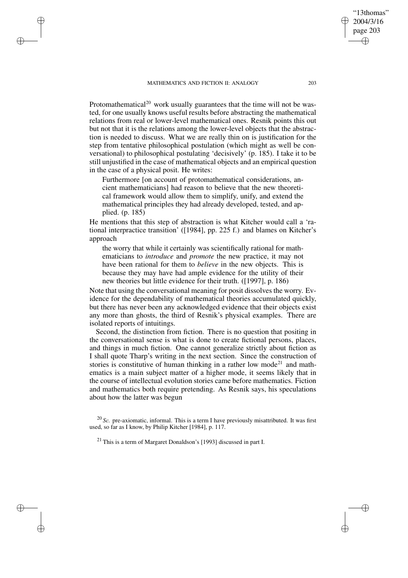✐

✐

✐

✐

Protomathematical<sup>20</sup> work usually guarantees that the time will not be wasted, for one usually knows useful results before abstracting the mathematical relations from real or lower-level mathematical ones. Resnik points this out but not that it is the relations among the lower-level objects that the abstraction is needed to discuss. What we are really thin on is justification for the step from tentative philosophical postulation (which might as well be conversational) to philosophical postulating 'decisively' (p. 185). I take it to be still unjustified in the case of mathematical objects and an empirical question in the case of a physical posit. He writes:

Furthermore [on account of protomathematical considerations, ancient mathematicians] had reason to believe that the new theoretical framework would allow them to simplify, unify, and extend the mathematical principles they had already developed, tested, and applied. (p. 185)

He mentions that this step of abstraction is what Kitcher would call a 'rational interpractice transition' ([1984], pp. 225 f.) and blames on Kitcher's approach

the worry that while it certainly was scientifically rational for mathematicians to *introduce* and *promote* the new practice, it may not have been rational for them to *believe* in the new objects. This is because they may have had ample evidence for the utility of their new theories but little evidence for their truth. ([1997], p. 186)

Note that using the conversational meaning for posit dissolves the worry. Evidence for the dependability of mathematical theories accumulated quickly, but there has never been any acknowledged evidence that their objects exist any more than ghosts, the third of Resnik's physical examples. There are isolated reports of intuitings.

Second, the distinction from fiction. There is no question that positing in the conversational sense is what is done to create fictional persons, places, and things in much fiction. One cannot generalize strictly about fiction as I shall quote Tharp's writing in the next section. Since the construction of stories is constitutive of human thinking in a rather low mode<sup>21</sup> and mathematics is a main subject matter of a higher mode, it seems likely that in the course of intellectual evolution stories came before mathematics. Fiction and mathematics both require pretending. As Resnik says, his speculations about how the latter was begun

<sup>20</sup> *Sc.* pre-axiomatic, informal. This is a term I have previously misattributed. It was first used, so far as I know, by Philip Kitcher [1984], p. 117.

 $21$  This is a term of Margaret Donaldson's [1993] discussed in part I.

"13thomas" 2004/3/16 page 203

✐

✐

✐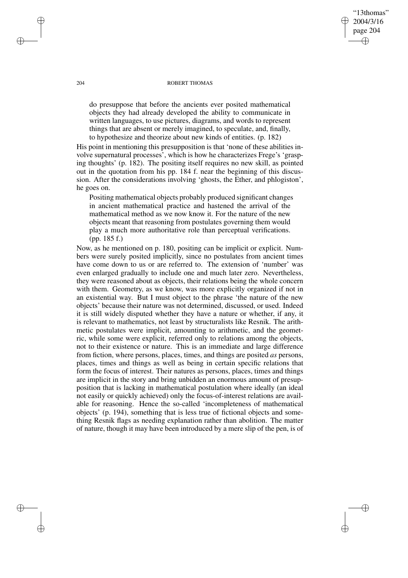# "13thomas" 2004/3/16 page 204 ✐ ✐

✐

✐

### 204 ROBERT THOMAS

do presuppose that before the ancients ever posited mathematical objects they had already developed the ability to communicate in written languages, to use pictures, diagrams, and words to represent things that are absent or merely imagined, to speculate, and, finally, to hypothesize and theorize about new kinds of entities. (p. 182)

His point in mentioning this presupposition is that 'none of these abilities involve supernatural processes', which is how he characterizes Frege's 'grasping thoughts' (p. 182). The positing itself requires no new skill, as pointed out in the quotation from his pp. 184 f. near the beginning of this discussion. After the considerations involving 'ghosts, the Ether, and phlogiston', he goes on.

Positing mathematical objects probably produced significant changes in ancient mathematical practice and hastened the arrival of the mathematical method as we now know it. For the nature of the new objects meant that reasoning from postulates governing them would play a much more authoritative role than perceptual verifications. (pp. 185 f.)

Now, as he mentioned on p. 180, positing can be implicit or explicit. Numbers were surely posited implicitly, since no postulates from ancient times have come down to us or are referred to. The extension of 'number' was even enlarged gradually to include one and much later zero. Nevertheless, they were reasoned about as objects, their relations being the whole concern with them. Geometry, as we know, was more explicitly organized if not in an existential way. But I must object to the phrase 'the nature of the new objects' because their nature was not determined, discussed, or used. Indeed it is still widely disputed whether they have a nature or whether, if any, it is relevant to mathematics, not least by structuralists like Resnik. The arithmetic postulates were implicit, amounting to arithmetic, and the geometric, while some were explicit, referred only to relations among the objects, not to their existence or nature. This is an immediate and large difference from fiction, where persons, places, times, and things are posited *as* persons, places, times and things as well as being in certain specific relations that form the focus of interest. Their natures as persons, places, times and things are implicit in the story and bring unbidden an enormous amount of presupposition that is lacking in mathematical postulation where ideally (an ideal not easily or quickly achieved) only the focus-of-interest relations are available for reasoning. Hence the so-called 'incompleteness of mathematical objects' (p. 194), something that is less true of fictional objects and something Resnik flags as needing explanation rather than abolition. The matter of nature, though it may have been introduced by a mere slip of the pen, is of

✐

✐

✐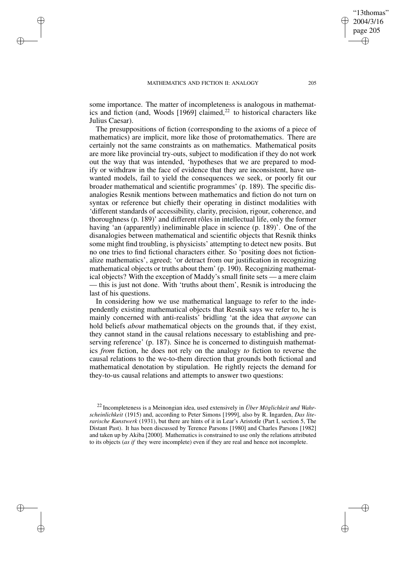✐

✐

✐

✐

some importance. The matter of incompleteness is analogous in mathematics and fiction (and, Woods  $[1969]$  claimed,<sup>22</sup> to historical characters like Julius Caesar).

The presuppositions of fiction (corresponding to the axioms of a piece of mathematics) are implicit, more like those of protomathematics. There are certainly not the same constraints as on mathematics. Mathematical posits are more like provincial try-outs, subject to modification if they do not work out the way that was intended, 'hypotheses that we are prepared to modify or withdraw in the face of evidence that they are inconsistent, have unwanted models, fail to yield the consequences we seek, or poorly fit our broader mathematical and scientific programmes' (p. 189). The specific disanalogies Resnik mentions between mathematics and fiction do not turn on syntax or reference but chiefly their operating in distinct modalities with 'different standards of accessibility, clarity, precision, rigour, coherence, and thoroughness (p. 189)' and different rôles in intellectual life, only the former having 'an (apparently) ineliminable place in science (p. 189)'. One of the disanalogies between mathematical and scientific objects that Resnik thinks some might find troubling, is physicists' attempting to detect new posits. But no one tries to find fictional characters either. So 'positing does not fictionalize mathematics', agreed; 'or detract from our justification in recognizing mathematical objects or truths about them' (p. 190). Recognizing mathematical objects? With the exception of Maddy's small finite sets — a mere claim — this is just not done. With 'truths about them', Resnik is introducing the last of his questions.

In considering how we use mathematical language to refer to the independently existing mathematical objects that Resnik says we refer to, he is mainly concerned with anti-realists' bridling 'at the idea that *anyone* can hold beliefs *about* mathematical objects on the grounds that, if they exist, they cannot stand in the causal relations necessary to establishing and preserving reference' (p. 187). Since he is concerned to distinguish mathematics *from* fiction, he does not rely on the analogy *to* fiction to reverse the causal relations to the we-to-them direction that grounds both fictional and mathematical denotation by stipulation. He rightly rejects the demand for they-to-us causal relations and attempts to answer two questions:

"13thomas" 2004/3/16 page 205

✐

✐

✐

<sup>22</sup> Incompleteness is a Meinongian idea, used extensively in *Über Möglichkeit und Wahrscheinlichkeit* (1915) and, according to Peter Simons [1999], also by R. Ingarden, *Das literarische Kunstwerk* (1931), but there are hints of it in Lear's Aristotle (Part I, section 5, The Distant Past). It has been discussed by Terence Parsons [1980] and Charles Parsons [1982] and taken up by Akiba [2000]. Mathematics is constrained to use only the relations attributed to its objects (*as if* they were incomplete) even if they are real and hence not incomplete.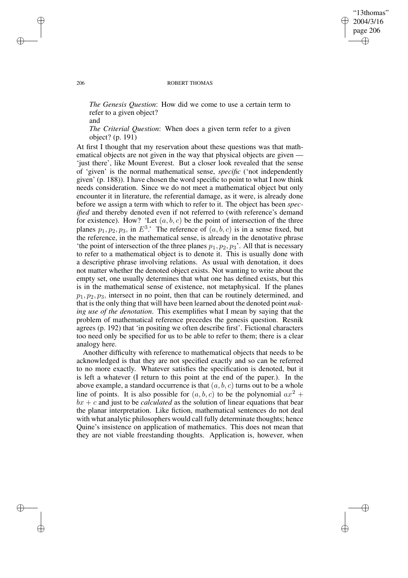# "13thomas" 2004/3/16 page 206 ✐ ✐

✐

✐

#### 206 ROBERT THOMAS

*The Genesis Question*: How did we come to use a certain term to refer to a given object?

*The Criterial Question*: When does a given term refer to a given object? (p. 191)

At first I thought that my reservation about these questions was that mathematical objects are not given in the way that physical objects are given -'just there', like Mount Everest. But a closer look revealed that the sense of 'given' is the normal mathematical sense, *specific* ('not independently given' (p. 188)). I have chosen the word specific to point to what I now think needs consideration. Since we do not meet a mathematical object but only encounter it in literature, the referential damage, as it were, is already done before we assign a term with which to refer to it. The object has been *specified* and thereby denoted even if not referred to (with reference's demand for existence). How? 'Let  $(a, b, c)$  be the point of intersection of the three planes  $p_1, p_2, p_3$ , in  $E^3$ .' The reference of  $(a, b, c)$  is in a sense fixed, but the reference, in the mathematical sense, is already in the denotative phrase 'the point of intersection of the three planes  $p_1, p_2, p_3$ '. All that is necessary to refer to a mathematical object is to denote it. This is usually done with a descriptive phrase involving relations. As usual with denotation, it does not matter whether the denoted object exists. Not wanting to write about the empty set, one usually determines that what one has defined exists, but this is in the mathematical sense of existence, not metaphysical. If the planes  $p_1, p_2, p_3$ , intersect in no point, then that can be routinely determined, and that is the only thing that will have been learned about the denoted point *making use of the denotation*. This exemplifies what I mean by saying that the problem of mathematical reference precedes the genesis question. Resnik agrees (p. 192) that 'in positing we often describe first'. Fictional characters too need only be specified for us to be able to refer to them; there is a clear analogy here.

Another difficulty with reference to mathematical objects that needs to be acknowledged is that they are not specified exactly and so can be referred to no more exactly. Whatever satisfies the specification is denoted, but it is left a whatever (I return to this point at the end of the paper.). In the above example, a standard occurrence is that  $(a, b, c)$  turns out to be a whole line of points. It is also possible for  $(a, b, c)$  to be the polynomial  $ax^2 +$  $bx + c$  and just to be *calculated* as the solution of linear equations that bear the planar interpretation. Like fiction, mathematical sentences do not deal with what analytic philosophers would call fully determinate thoughts; hence Quine's insistence on application of mathematics. This does not mean that they are not viable freestanding thoughts. Application is, however, when

and

✐

✐

✐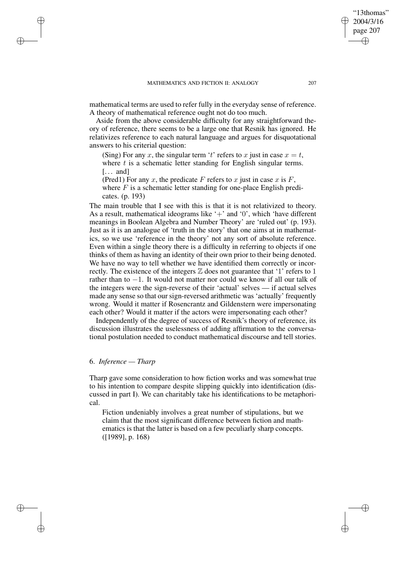mathematical terms are used to refer fully in the everyday sense of reference. A theory of mathematical reference ought not do too much.

Aside from the above considerable difficulty for any straightforward theory of reference, there seems to be a large one that Resnik has ignored. He relativizes reference to each natural language and argues for disquotational answers to his criterial question:

(Sing) For any x, the singular term 't' refers to x just in case  $x = t$ , where  $t$  is a schematic letter standing for English singular terms.  $[\dots$  and  $]$ 

(Pred1) For any x, the predicate F refers to x just in case x is  $F$ , where  $F$  is a schematic letter standing for one-place English predicates. (p. 193)

The main trouble that I see with this is that it is not relativized to theory. As a result, mathematical ideograms like  $+$  and  $0$ , which 'have different meanings in Boolean Algebra and Number Theory' are 'ruled out' (p. 193). Just as it is an analogue of 'truth in the story' that one aims at in mathematics, so we use 'reference in the theory' not any sort of absolute reference. Even within a single theory there is a difficulty in referring to objects if one thinks of them as having an identity of their own prior to their being denoted. We have no way to tell whether we have identified them correctly or incorrectly. The existence of the integers  $\mathbb Z$  does not guarantee that '1' refers to 1 rather than to −1. It would not matter nor could we know if all our talk of the integers were the sign-reverse of their 'actual' selves — if actual selves made any sense so that our sign-reversed arithmetic was 'actually' frequently wrong. Would it matter if Rosencrantz and Gildenstern were impersonating each other? Would it matter if the actors were impersonating each other?

Independently of the degree of success of Resnik's theory of reference, its discussion illustrates the uselessness of adding affirmation to the conversational postulation needed to conduct mathematical discourse and tell stories.

### 6. *Inference — Tharp*

✐

✐

✐

✐

Tharp gave some consideration to how fiction works and was somewhat true to his intention to compare despite slipping quickly into identification (discussed in part I). We can charitably take his identifications to be metaphorical.

Fiction undeniably involves a great number of stipulations, but we claim that the most significant difference between fiction and mathematics is that the latter is based on a few peculiarly sharp concepts. ([1989], p. 168)

"13thomas" 2004/3/16 page 207

✐

✐

✐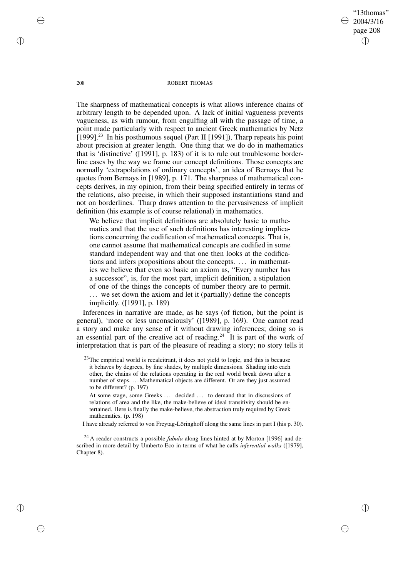"13thomas" 2004/3/16 page 208 ✐ ✐

✐

✐

#### 208 ROBERT THOMAS

The sharpness of mathematical concepts is what allows inference chains of arbitrary length to be depended upon. A lack of initial vagueness prevents vagueness, as with rumour, from engulfing all with the passage of time, a point made particularly with respect to ancient Greek mathematics by Netz [1999].<sup>23</sup> In his posthumous sequel (Part II [1991]), Tharp repeats his point about precision at greater length. One thing that we do do in mathematics that is 'distinctive' ([1991], p. 183) of it is to rule out troublesome borderline cases by the way we frame our concept definitions. Those concepts are normally 'extrapolations of ordinary concepts', an idea of Bernays that he quotes from Bernays in [1989], p. 171. The sharpness of mathematical concepts derives, in my opinion, from their being specified entirely in terms of the relations, also precise, in which their supposed instantiations stand and not on borderlines. Tharp draws attention to the pervasiveness of implicit definition (his example is of course relational) in mathematics.

We believe that implicit definitions are absolutely basic to mathematics and that the use of such definitions has interesting implications concerning the codification of mathematical concepts. That is, one cannot assume that mathematical concepts are codified in some standard independent way and that one then looks at the codifications and infers propositions about the concepts. . . . in mathematics we believe that even so basic an axiom as, "Every number has a successor", is, for the most part, implicit definition, a stipulation of one of the things the concepts of number theory are to permit. ... we set down the axiom and let it (partially) define the concepts implicitly. ([1991], p. 189)

Inferences in narrative are made, as he says (of fiction, but the point is general), 'more or less unconsciously' ([1989], p. 169). One cannot read a story and make any sense of it without drawing inferences; doing so is an essential part of the creative act of reading.<sup>24</sup> It is part of the work of interpretation that is part of the pleasure of reading a story; no story tells it

 $23$ The empirical world is recalcitrant, it does not yield to logic, and this is because it behaves by degrees, by fine shades, by multiple dimensions. Shading into each other, the chains of the relations operating in the real world break down after a number of steps. . . . Mathematical objects are different. Or are they just assumed to be different? (p. 197)

At some stage, some Greeks ... decided ... to demand that in discussions of relations of area and the like, the make-believe of ideal transitivity should be entertained. Here is finally the make-believe, the abstraction truly required by Greek mathematics. (p. 198)

I have already referred to von Freytag-Löringhoff along the same lines in part I (his p. 30).

<sup>24</sup> A reader constructs a possible *fabula* along lines hinted at by Morton [1996] and described in more detail by Umberto Eco in terms of what he calls *inferential walks* ([1979], Chapter 8).

✐

✐

✐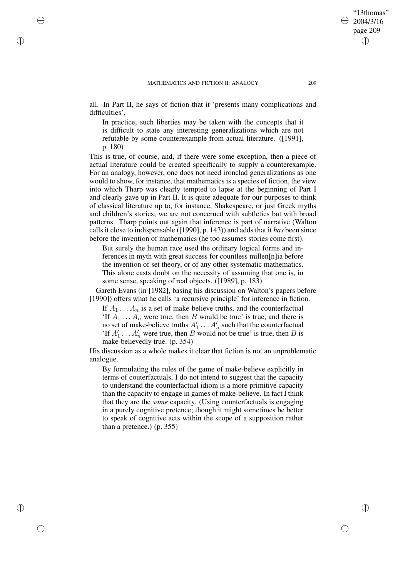✐

✐

✐

✐

all. In Part II, he says of fiction that it 'presents many complications and difficulties',

In practice, such liberties may be taken with the concepts that it is difficult to state any interesting generalizations which are not refutable by some counterexample from actual literature. ([1991], p. 180)

This is true, of course, and, if there were some exception, then a piece of actual literature could be created specifically to supply a counterexample. For an analogy, however, one does not need ironclad generalizations as one would to show, for instance, that mathematics is a species of fiction, the view into which Tharp was clearly tempted to lapse at the beginning of Part I and clearly gave up in Part II. It is quite adequate for our purposes to think of classical literature up to, for instance, Shakespeare, or just Greek myths and children's stories; we are not concerned with subtleties but with broad patterns. Tharp points out again that inference is part of narrative (Walton calls it close to indispensable ([1990], p. 143)) and adds that it *has* been since before the invention of mathematics (he too assumes stories come first).

But surely the human race used the ordinary logical forms and inferences in myth with great success for countless millen[n]ia before the invention of set theory, or of any other systematic mathematics. This alone casts doubt on the necessity of assuming that one is, in some sense, speaking of real objects. ([1989], p. 183)

Gareth Evans (in [1982], basing his discussion on Walton's papers before [1990]) offers what he calls 'a recursive principle' for inference in fiction.

If  $A_1 \ldots A_n$  is a set of make-believe truths, and the counterfactual 'If  $A_1 \ldots A_n$  were true, then B would be true' is true, and there is no set of make-believe truths  $A'_1 \dots A'_n$  such that the counterfactual 'If  $A'_1 \n\t\ldots A'_n$  were true, then B would not be true' is true, then B is make-believedly true. (p. 354)

His discussion as a whole makes it clear that fiction is not an unproblematic analogue.

By formulating the rules of the game of make-believe explicitly in terms of couterfactuals, I do not intend to suggest that the capacity to understand the counterfactual idiom is a more primitive capacity than the capacity to engage in games of make-believe. In fact I think that they are the *same* capacity. (Using counterfactuals is engaging in a purely cognitive pretence; though it might sometimes be better to speak of cognitive acts within the scope of a supposition rather than a pretence.) (p. 355)

"13thomas" 2004/3/16 page 209

✐

✐

✐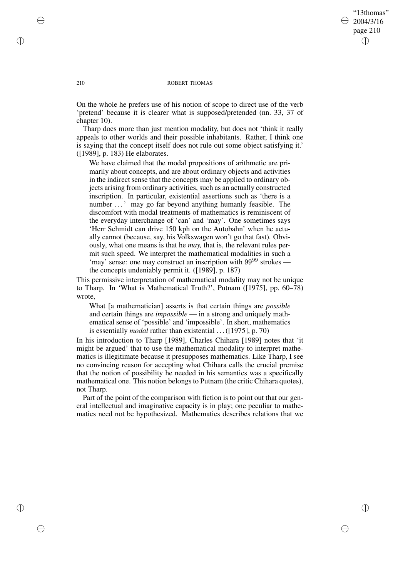# "13thomas" 2004/3/16 page 210 ✐ ✐

✐

✐

#### 210 ROBERT THOMAS

On the whole he prefers use of his notion of scope to direct use of the verb 'pretend' because it is clearer what is supposed/pretended (nn. 33, 37 of chapter 10).

Tharp does more than just mention modality, but does not 'think it really appeals to other worlds and their possible inhabitants. Rather, I think one is saying that the concept itself does not rule out some object satisfying it.' ([1989], p. 183) He elaborates.

We have claimed that the modal propositions of arithmetic are primarily about concepts, and are about ordinary objects and activities in the indirect sense that the concepts may be applied to ordinary objects arising from ordinary activities, such as an actually constructed inscription. In particular, existential assertions such as 'there is a number . . .' may go far beyond anything humanly feasible. The discomfort with modal treatments of mathematics is reminiscent of the everyday interchange of 'can' and 'may'. One sometimes says 'Herr Schmidt can drive 150 kph on the Autobahn' when he actually cannot (because, say, his Volkswagen won't go that fast). Obviously, what one means is that he *may,* that is, the relevant rules permit such speed. We interpret the mathematical modalities in such a 'may' sense: one may construct an inscription with  $99^{99}$  strokes the concepts undeniably permit it. ([1989], p. 187)

This permissive interpretation of mathematical modality may not be unique to Tharp. In 'What is Mathematical Truth?', Putnam ([1975], pp. 60–78) wrote,

What [a mathematician] asserts is that certain things are *possible* and certain things are *impossible* — in a strong and uniquely mathematical sense of 'possible' and 'impossible'. In short, mathematics is essentially *modal* rather than existential . . . ([1975], p. 70)

In his introduction to Tharp [1989], Charles Chihara [1989] notes that 'it might be argued' that to use the mathematical modality to interpret mathematics is illegitimate because it presupposes mathematics. Like Tharp, I see no convincing reason for accepting what Chihara calls the crucial premise that the notion of possibility he needed in his semantics was a specifically mathematical one. This notion belongs to Putnam (the critic Chihara quotes), not Tharp.

Part of the point of the comparison with fiction is to point out that our general intellectual and imaginative capacity is in play; one peculiar to mathematics need not be hypothesized. Mathematics describes relations that we

✐

✐

✐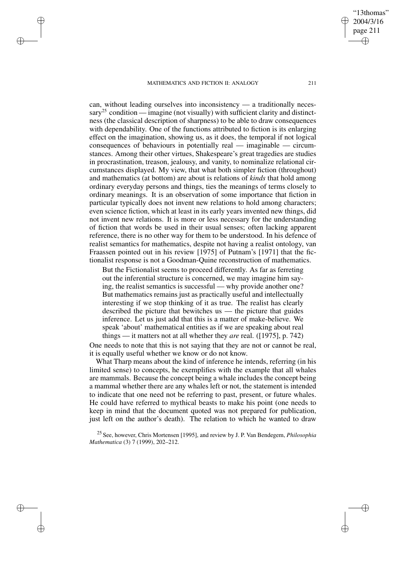✐

✐

✐

✐

can, without leading ourselves into inconsistency — a traditionally necessary<sup>25</sup> condition — imagine (not visually) with sufficient clarity and distinctness (the classical description of sharpness) to be able to draw consequences with dependability. One of the functions attributed to fiction is its enlarging effect on the imagination, showing us, as it does, the temporal if not logical consequences of behaviours in potentially real — imaginable — circumstances. Among their other virtues, Shakespeare's great tragedies are studies in procrastination, treason, jealousy, and vanity, to nominalize relational circumstances displayed. My view, that what both simpler fiction (throughout) and mathematics (at bottom) are about is relations of *kinds* that hold among ordinary everyday persons and things, ties the meanings of terms closely to ordinary meanings. It is an observation of some importance that fiction in particular typically does not invent new relations to hold among characters; even science fiction, which at least in its early years invented new things, did not invent new relations. It is more or less necessary for the understanding of fiction that words be used in their usual senses; often lacking apparent reference, there is no other way for them to be understood. In his defence of realist semantics for mathematics, despite not having a realist ontology, van Fraassen pointed out in his review [1975] of Putnam's [1971] that the fictionalist response is not a Goodman-Quine reconstruction of mathematics.

But the Fictionalist seems to proceed differently. As far as ferreting out the inferential structure is concerned, we may imagine him saying, the realist semantics is successful — why provide another one? But mathematics remains just as practically useful and intellectually interesting if we stop thinking of it as true. The realist has clearly described the picture that bewitches us — the picture that guides inference. Let us just add that this is a matter of make-believe. We speak 'about' mathematical entities as if we are speaking about real things — it matters not at all whether they *are* real. ([1975], p. 742)

One needs to note that this is not saying that they are not or cannot be real, it is equally useful whether we know or do not know.

What Tharp means about the kind of inference he intends, referring (in his limited sense) to concepts, he exemplifies with the example that all whales are mammals. Because the concept being a whale includes the concept being a mammal whether there are any whales left or not, the statement is intended to indicate that one need not be referring to past, present, or future whales. He could have referred to mythical beasts to make his point (one needs to keep in mind that the document quoted was not prepared for publication, just left on the author's death). The relation to which he wanted to draw

<sup>25</sup> See, however, Chris Mortensen [1995], and review by J. P. Van Bendegem, *Philosophia Mathematica* (3) 7 (1999), 202-212.

"13thomas" 2004/3/16 page 211

✐

✐

✐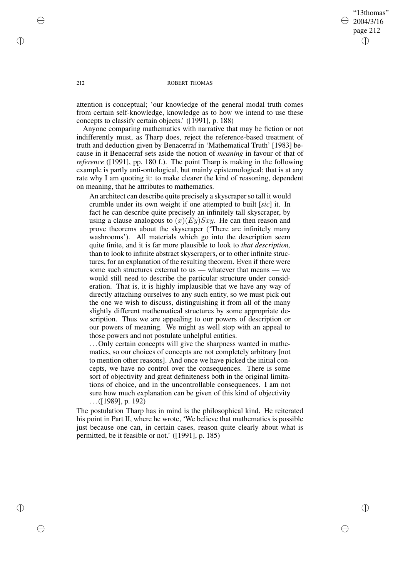"13thomas" 2004/3/16 page 212 ✐ ✐

✐

✐

### 212 ROBERT THOMAS

attention is conceptual; 'our knowledge of the general modal truth comes from certain self-knowledge, knowledge as to how we intend to use these concepts to classify certain objects.' ([1991], p. 188)

Anyone comparing mathematics with narrative that may be fiction or not indifferently must, as Tharp does, reject the reference-based treatment of truth and deduction given by Benacerraf in 'Mathematical Truth' [1983] because in it Benacerraf sets aside the notion of *meaning* in favour of that of *reference* ([1991], pp. 180 f.). The point Tharp is making in the following example is partly anti-ontological, but mainly epistemological; that is at any rate why I am quoting it: to make clearer the kind of reasoning, dependent on meaning, that he attributes to mathematics.

An architect can describe quite precisely a skyscraper so tall it would crumble under its own weight if one attempted to built [*sic*] it. In fact he can describe quite precisely an infinitely tall skyscraper, by using a clause analogous to  $(x)(Ey)Sxy$ . He can then reason and prove theorems about the skyscraper ('There are infinitely many washrooms'). All materials which go into the description seem quite finite, and it is far more plausible to look to *that description,* than to look to infinite abstract skyscrapers, or to other infinite structures, for an explanation of the resulting theorem. Even if there were some such structures external to us — whatever that means — we would still need to describe the particular structure under consideration. That is, it is highly implausible that we have any way of directly attaching ourselves to any such entity, so we must pick out the one we wish to discuss, distinguishing it from all of the many slightly different mathematical structures by some appropriate description. Thus we are appealing to our powers of description or our powers of meaning. We might as well stop with an appeal to those powers and not postulate unhelpful entities.

. . . Only certain concepts will give the sharpness wanted in mathematics, so our choices of concepts are not completely arbitrary [not to mention other reasons]. And once we have picked the initial concepts, we have no control over the consequences. There is some sort of objectivity and great definiteness both in the original limitations of choice, and in the uncontrollable consequences. I am not sure how much explanation can be given of this kind of objectivity . . .([1989], p. 192)

The postulation Tharp has in mind is the philosophical kind. He reiterated his point in Part II, where he wrote, 'We believe that mathematics is possible just because one can, in certain cases, reason quite clearly about what is permitted, be it feasible or not.' ([1991], p. 185)

✐

✐

✐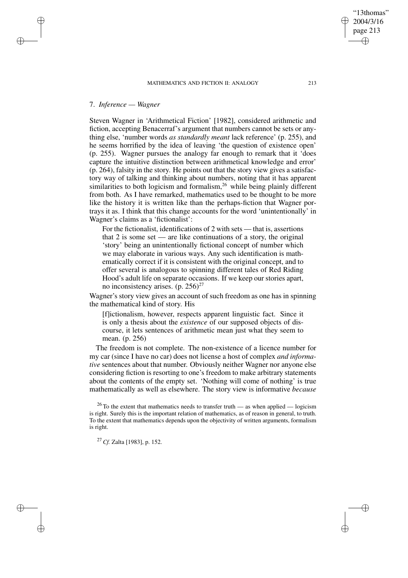# 7. *Inference — Wagner*

✐

✐

✐

✐

Steven Wagner in 'Arithmetical Fiction' [1982], considered arithmetic and fiction, accepting Benacerraf's argument that numbers cannot be sets or anything else, 'number words *as standardly meant* lack reference' (p. 255), and he seems horrified by the idea of leaving 'the question of existence open' (p. 255). Wagner pursues the analogy far enough to remark that it 'does capture the intuitive distinction between arithmetical knowledge and error' (p. 264), falsity in the story. He points out that the story view gives a satisfactory way of talking and thinking about numbers, noting that it has apparent similarities to both logicism and formalism, $26$  while being plainly different from both. As I have remarked, mathematics used to be thought to be more like the history it is written like than the perhaps-fiction that Wagner portrays it as. I think that this change accounts for the word 'unintentionally' in Wagner's claims as a 'fictionalist':

For the fictionalist, identifications of 2 with sets — that is, assertions that 2 is some set — are like continuations of a story, the original 'story' being an unintentionally fictional concept of number which we may elaborate in various ways. Any such identification is mathematically correct if it is consistent with the original concept, and to offer several is analogous to spinning different tales of Red Riding Hood's adult life on separate occasions. If we keep our stories apart, no inconsistency arises.  $(p. 256)^{27}$ 

Wagner's story view gives an account of such freedom as one has in spinning the mathematical kind of story. His

[f]ictionalism, however, respects apparent linguistic fact. Since it is only a thesis about the *existence* of our supposed objects of discourse, it lets sentences of arithmetic mean just what they seem to mean. (p. 256)

The freedom is not complete. The non-existence of a licence number for my car (since I have no car) does not license a host of complex *and informative* sentences about that number. Obviously neither Wagner nor anyone else considering fiction is resorting to one's freedom to make arbitrary statements about the contents of the empty set. 'Nothing will come of nothing' is true mathematically as well as elsewhere. The story view is informative *because*

<sup>27</sup> *Cf.* Zalta [1983], p. 152.

"13thomas" 2004/3/16 page 213

✐

✐

✐

 $26$  To the extent that mathematics needs to transfer truth — as when applied — logicism is right. Surely this is the important relation of mathematics, as of reason in general, to truth. To the extent that mathematics depends upon the objectivity of written arguments, formalism is right.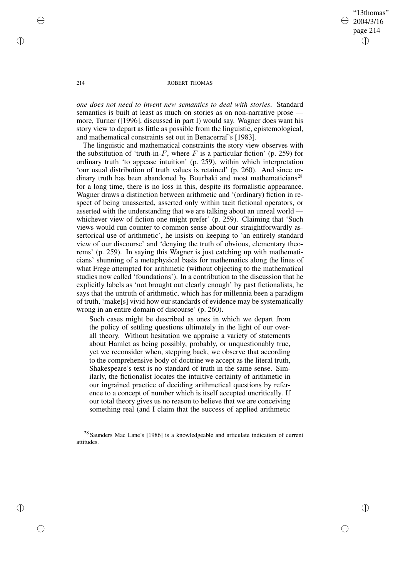"13thomas" 2004/3/16 page 214 ✐ ✐

✐

✐

### 214 ROBERT THOMAS

*one does not need to invent new semantics to deal with stories*. Standard semantics is built at least as much on stories as on non-narrative prose more, Turner ([1996], discussed in part I) would say. Wagner does want his story view to depart as little as possible from the linguistic, epistemological, and mathematical constraints set out in Benacerraf's [1983].

The linguistic and mathematical constraints the story view observes with the substitution of 'truth-in-F, where F is a particular fiction' (p. 259) for ordinary truth 'to appease intuition' (p. 259), within which interpretation 'our usual distribution of truth values is retained' (p. 260). And since ordinary truth has been abandoned by Bourbaki and most mathematicians<sup>28</sup> for a long time, there is no loss in this, despite its formalistic appearance. Wagner draws a distinction between arithmetic and '(ordinary) fiction in respect of being unasserted, asserted only within tacit fictional operators, or asserted with the understanding that we are talking about an unreal world whichever view of fiction one might prefer' (p. 259). Claiming that 'Such views would run counter to common sense about our straightforwardly assertorical use of arithmetic', he insists on keeping to 'an entirely standard view of our discourse' and 'denying the truth of obvious, elementary theorems' (p. 259). In saying this Wagner is just catching up with mathematicians' shunning of a metaphysical basis for mathematics along the lines of what Frege attempted for arithmetic (without objecting to the mathematical studies now called 'foundations'). In a contribution to the discussion that he explicitly labels as 'not brought out clearly enough' by past fictionalists, he says that the untruth of arithmetic, which has for millennia been a paradigm of truth, 'make[s] vivid how our standards of evidence may be systematically wrong in an entire domain of discourse' (p. 260).

Such cases might be described as ones in which we depart from the policy of settling questions ultimately in the light of our overall theory. Without hesitation we appraise a variety of statements about Hamlet as being possibly, probably, or unquestionably true, yet we reconsider when, stepping back, we observe that according to the comprehensive body of doctrine we accept as the literal truth, Shakespeare's text is no standard of truth in the same sense. Similarly, the fictionalist locates the intuitive certainty of arithmetic in our ingrained practice of deciding arithmetical questions by reference to a concept of number which is itself accepted uncritically. If our total theory gives us no reason to believe that we are conceiving something real (and I claim that the success of applied arithmetic

<sup>28</sup> Saunders Mac Lane's [1986] is a knowledgeable and articulate indication of current attitudes.

✐

✐

✐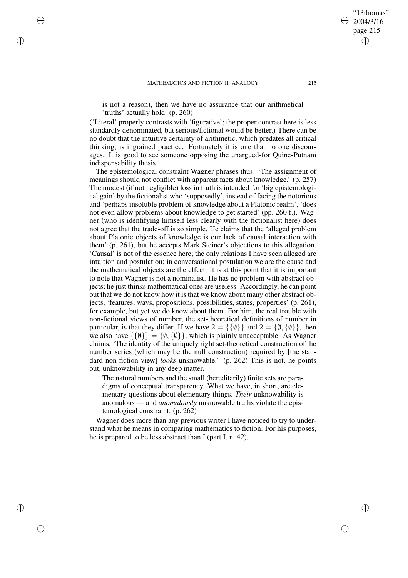✐

✐

✐

✐

is not a reason), then we have no assurance that our arithmetical 'truths' actually hold. (p. 260)

('Literal' properly contrasts with 'figurative'; the proper contrast here is less standardly denominated, but serious/fictional would be better.) There can be no doubt that the intuitive certainty of arithmetic, which predates all critical thinking, is ingrained practice. Fortunately it is one that no one discourages. It is good to see someone opposing the unargued-for Quine-Putnam indispensability thesis.

The epistemological constraint Wagner phrases thus: 'The assignment of meanings should not conflict with apparent facts about knowledge.' (p. 257) The modest (if not negligible) loss in truth is intended for 'big epistemological gain' by the fictionalist who 'supposedly', instead of facing the notorious and 'perhaps insoluble problem of knowledge about a Platonic realm', 'does not even allow problems about knowledge to get started' (pp. 260 f.). Wagner (who is identifying himself less clearly with the fictionalist here) does not agree that the trade-off is so simple. He claims that the 'alleged problem about Platonic objects of knowledge is our lack of causal interaction with them' (p. 261), but he accepts Mark Steiner's objections to this allegation. 'Causal' is not of the essence here; the only relations I have seen alleged are intuition and postulation; in conversational postulation we are the cause and the mathematical objects are the effect. It is at this point that it is important to note that Wagner is not a nominalist. He has no problem with abstract objects; he just thinks mathematical ones are useless. Accordingly, he can point out that we do not know how it is that we know about many other abstract objects, 'features, ways, propositions, possibilities, states, properties' (p. 261), for example, but yet we do know about them. For him, the real trouble with non-fictional views of number, the set-theoretical definitions of number in particular, is that they differ. If we have  $2 = {\{\{\emptyset\}\}\}\$ and  $2 = {\emptyset, {\{\emptyset\}\}\}\$ , then we also have  $\{\{\emptyset\}\} = \{\emptyset, \{\emptyset\}\}\$ , which is plainly unacceptable. As Wagner claims, 'The identity of the uniquely right set-theoretical construction of the number series (which may be the null construction) required by [the standard non-fiction view] *looks* unknowable.' (p. 262) This is not, he points out, unknowability in any deep matter.

The natural numbers and the small (hereditarily) finite sets are paradigms of conceptual transparency. What we have, in short, are elementary questions about elementary things. *Their* unknowability is anomalous — and *anomalously* unknowable truths violate the epistemological constraint. (p. 262)

Wagner does more than any previous writer I have noticed to try to understand what he means in comparing mathematics to fiction. For his purposes, he is prepared to be less abstract than I (part I, n. 42),

"13thomas" 2004/3/16 page 215

✐

✐

✐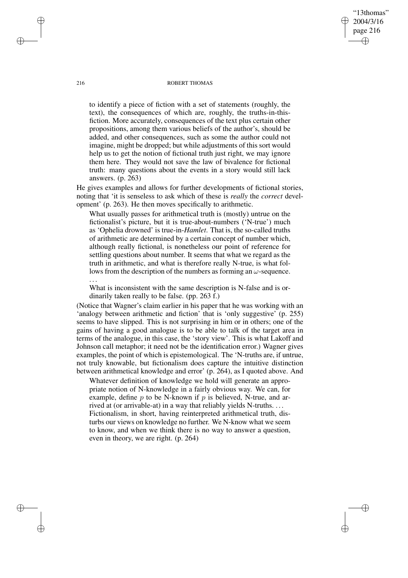#### 216 ROBERT THOMAS

"13thomas" 2004/3/16 page 216

✐

✐

✐

✐

to identify a piece of fiction with a set of statements (roughly, the text), the consequences of which are, roughly, the truths-in-thisfiction. More accurately, consequences of the text plus certain other propositions, among them various beliefs of the author's, should be added, and other consequences, such as some the author could not imagine, might be dropped; but while adjustments of this sort would help us to get the notion of fictional truth just right, we may ignore them here. They would not save the law of bivalence for fictional truth: many questions about the events in a story would still lack answers. (p. 263)

He gives examples and allows for further developments of fictional stories, noting that 'it is senseless to ask which of these is *really* the *correct* development' (p. 263). He then moves specifically to arithmetic.

What usually passes for arithmetical truth is (mostly) untrue on the fictionalist's picture, but it is true-about-numbers ('N-true') much as 'Ophelia drowned' is true-in-*Hamlet*. That is, the so-called truths of arithmetic are determined by a certain concept of number which, although really fictional, is nonetheless our point of reference for settling questions about number. It seems that what we regard as the truth in arithmetic, and what is therefore really N-true, is what follows from the description of the numbers as forming an  $\omega$ -sequence. . . .

What is inconsistent with the same description is N-false and is ordinarily taken really to be false. (pp. 263 f.)

(Notice that Wagner's claim earlier in his paper that he was working with an 'analogy between arithmetic and fiction' that is 'only suggestive' (p. 255) seems to have slipped. This is not surprising in him or in others; one of the gains of having a good analogue is to be able to talk of the target area in terms of the analogue, in this case, the 'story view'. This is what Lakoff and Johnson call metaphor; it need not be the identification error.) Wagner gives examples, the point of which is epistemological. The 'N-truths are, if untrue, not truly knowable, but fictionalism does capture the intuitive distinction between arithmetical knowledge and error' (p. 264), as I quoted above. And

Whatever definition of knowledge we hold will generate an appropriate notion of N-knowledge in a fairly obvious way. We can, for example, define  $p$  to be N-known if  $p$  is believed, N-true, and arrived at (or arrivable-at) in a way that reliably yields N-truths. . . . Fictionalism, in short, having reinterpreted arithmetical truth, disturbs our views on knowledge no further. We N-know what we seem to know, and when we think there is no way to answer a question, even in theory, we are right. (p. 264)

✐

✐

✐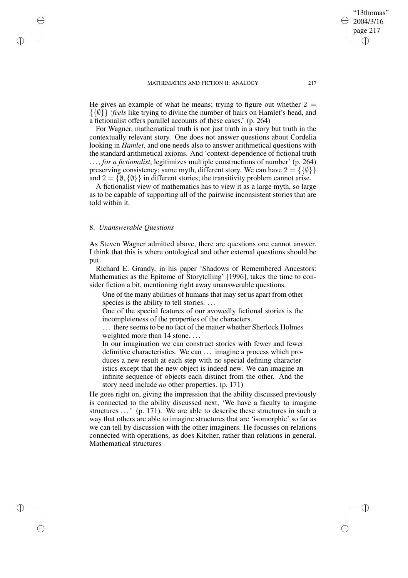He gives an example of what he means; trying to figure out whether  $2 =$ {{∅}} '*feels* like trying to divine the number of hairs on Hamlet's head, and a fictionalist offers parallel accounts of these cases.' (p. 264)

For Wagner, mathematical truth is not just truth in a story but truth in the contextually relevant story. One does not answer questions about Cordelia looking in *Hamlet*, and one needs also to answer arithmetical questions with the standard arithmetical axioms. And 'context-dependence of fictional truth . . . , *for a fictionalist*, legitimizes multiple constructions of number' (p. 264) preserving consistency; same myth, different story. We can have  $2 = \{ \{\emptyset\} \}$ and  $2 = \{\emptyset, \{\emptyset\}\}\$ in different stories; the transitivity problem cannot arise.

A fictionalist view of mathematics has to view it as a large myth, so large as to be capable of supporting all of the pairwise inconsistent stories that are told within it.

# 8. *Unanswerable Questions*

✐

✐

✐

✐

As Steven Wagner admitted above, there are questions one cannot answer. I think that this is where ontological and other external questions should be put.

Richard E. Grandy, in his paper 'Shadows of Remembered Ancestors: Mathematics as the Epitome of Storytelling' [1996], takes the time to consider fiction a bit, mentioning right away unanswerable questions.

One of the many abilities of humans that may set us apart from other species is the ability to tell stories. ...

One of the special features of our avowedly fictional stories is the incompleteness of the properties of the characters.

. . . there seems to be no fact of the matter whether Sherlock Holmes weighted more than 14 stone....

In our imagination we can construct stories with fewer and fewer definitive characteristics. We can ... imagine a process which produces a new result at each step with no special defining characteristics except that the new object is indeed new. We can imagine an infinite sequence of objects each distinct from the other. And the story need include *no* other properties. (p. 171)

He goes right on, giving the impression that the ability discussed previously is connected to the ability discussed next, 'We have a faculty to imagine structures ...' (p. 171). We are able to describe these structures in such a way that others are able to imagine structures that are 'isomorphic' so far as we can tell by discussion with the other imaginers. He focusses on relations connected with operations, as does Kitcher, rather than relations in general. Mathematical structures

"13thomas" 2004/3/16 page 217

✐

✐

✐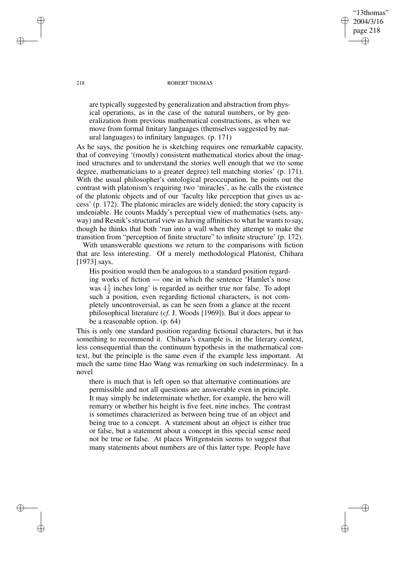218 ROBERT THOMAS

"13thomas" 2004/3/16 page 218

✐

✐

✐

✐

are typically suggested by generalization and abstraction from physical operations, as in the case of the natural numbers, or by generalization from previous mathematical constructions, as when we move from formal finitary languages (themselves suggested by natural languages) to infinitary languages. (p. 171)

As he says, the position he is sketching requires one remarkable capacity, that of conveying '(mostly) consistent mathematical stories about the imagined structures and to understand the stories well enough that we (to some degree, mathematicians to a greater degree) tell matching stories' (p. 171). With the usual philosopher's ontological preoccupation, he points out the contrast with platonism's requiring two 'miracles', as he calls the existence of the platonic objects and of our 'faculty like perception that gives us access' (p. 172). The platonic miracles are widely denied; the story capacity is undeniable. He counts Maddy's perceptual view of mathematics (sets, anyway) and Resnik's structural view as having affinities to what he wants to say, though he thinks that both 'run into a wall when they attempt to make the transition from "perception of finite structure" to infinite structure' (p. 172).

With unanswerable questions we return to the comparisons with fiction that are less interesting. Of a merely methodological Platonist, Chihara [1973] says,

His position would then be analogous to a standard position regarding works of fiction — one in which the sentence 'Hamlet's nose was  $4\frac{1}{2}$  $\frac{1}{2}$  inches long' is regarded as neither true nor false. To adopt such a position, even regarding fictional characters, is not completely uncontroversial, as can be seen from a glance at the recent philosophical literature (*cf.* J. Woods [1969]). But it does appear to be a reasonable option. (p. 64)

This is only one standard position regarding fictional characters, but it has something to recommend it. Chihara's example is, in the literary context, less consequential than the continuum hypothesis in the mathematical context, but the principle is the same even if the example less important. At much the same time Hao Wang was remarking on such indeterminacy. In a novel

there is much that is left open so that alternative continuations are permissible and not all questions are answerable even in principle. It may simply be indeterminate whether, for example, the hero will remarry or whether his height is five feet, nine inches. The contrast is sometimes characterized as between being true of an object and being true to a concept. A statement about an object is either true or false, but a statement about a concept in this special sense need not be true or false. At places Wittgenstein seems to suggest that many statements about numbers are of this latter type. People have

✐

✐

✐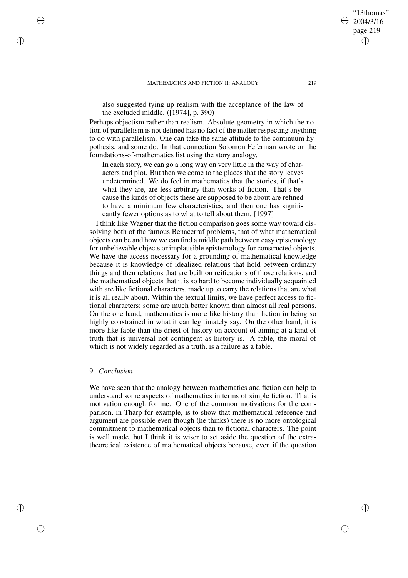also suggested tying up realism with the acceptance of the law of the excluded middle. ([1974], p. 390)

Perhaps objectism rather than realism. Absolute geometry in which the notion of parallelism is not defined has no fact of the matter respecting anything to do with parallelism. One can take the same attitude to the continuum hypothesis, and some do. In that connection Solomon Feferman wrote on the foundations-of-mathematics list using the story analogy,

In each story, we can go a long way on very little in the way of characters and plot. But then we come to the places that the story leaves undetermined. We do feel in mathematics that the stories, if that's what they are, are less arbitrary than works of fiction. That's because the kinds of objects these are supposed to be about are refined to have a minimum few characteristics, and then one has significantly fewer options as to what to tell about them. [1997]

I think like Wagner that the fiction comparison goes some way toward dissolving both of the famous Benacerraf problems, that of what mathematical objects can be and how we can find a middle path between easy epistemology for unbelievable objects or implausible epistemology for constructed objects. We have the access necessary for a grounding of mathematical knowledge because it is knowledge of idealized relations that hold between ordinary things and then relations that are built on reifications of those relations, and the mathematical objects that it is so hard to become individually acquainted with are like fictional characters, made up to carry the relations that are what it is all really about. Within the textual limits, we have perfect access to fictional characters; some are much better known than almost all real persons. On the one hand, mathematics is more like history than fiction in being so highly constrained in what it can legitimately say. On the other hand, it is more like fable than the driest of history on account of aiming at a kind of truth that is universal not contingent as history is. A fable, the moral of which is not widely regarded as a truth, is a failure as a fable.

# 9. *Conclusion*

✐

✐

✐

✐

We have seen that the analogy between mathematics and fiction can help to understand some aspects of mathematics in terms of simple fiction. That is motivation enough for me. One of the common motivations for the comparison, in Tharp for example, is to show that mathematical reference and argument are possible even though (he thinks) there is no more ontological commitment to mathematical objects than to fictional characters. The point is well made, but I think it is wiser to set aside the question of the extratheoretical existence of mathematical objects because, even if the question

"13thomas" 2004/3/16 page 219

✐

✐

✐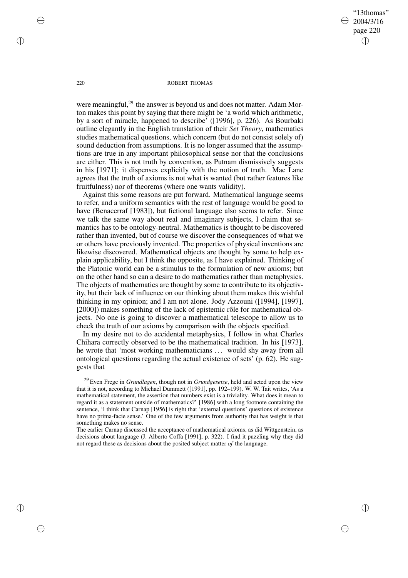"13thomas" 2004/3/16 page 220 ✐ ✐

✐

✐

#### 220 ROBERT THOMAS

were meaningful, $^{29}$  the answer is beyond us and does not matter. Adam Morton makes this point by saying that there might be 'a world which arithmetic, by a sort of miracle, happened to describe' ([1996], p. 226). As Bourbaki outline elegantly in the English translation of their *Set Theory*, mathematics studies mathematical questions, which concern (but do not consist solely of) sound deduction from assumptions. It is no longer assumed that the assumptions are true in any important philosophical sense nor that the conclusions are either. This is not truth by convention, as Putnam dismissively suggests in his [1971]; it dispenses explicitly with the notion of truth. Mac Lane agrees that the truth of axioms is not what is wanted (but rather features like fruitfulness) nor of theorems (where one wants validity).

Against this some reasons are put forward. Mathematical language seems to refer, and a uniform semantics with the rest of language would be good to have (Benacerraf [1983]), but fictional language also seems to refer. Since we talk the same way about real and imaginary subjects, I claim that semantics has to be ontology-neutral. Mathematics is thought to be discovered rather than invented, but of course we discover the consequences of what we or others have previously invented. The properties of physical inventions are likewise discovered. Mathematical objects are thought by some to help explain applicability, but I think the opposite, as I have explained. Thinking of the Platonic world can be a stimulus to the formulation of new axioms; but on the other hand so can a desire to do mathematics rather than metaphysics. The objects of mathematics are thought by some to contribute to its objectivity, but their lack of influence on our thinking about them makes this wishful thinking in my opinion; and I am not alone. Jody Azzouni ([1994], [1997], [2000]) makes something of the lack of epistemic rôle for mathematical objects. No one is going to discover a mathematical telescope to allow us to check the truth of our axioms by comparison with the objects specified.

In my desire not to do accidental metaphysics, I follow in what Charles Chihara correctly observed to be the mathematical tradition. In his [1973], he wrote that 'most working mathematicians ... would shy away from all ontological questions regarding the actual existence of sets' (p. 62). He suggests that

<sup>29</sup> Even Frege in *Grundlagen*, though not in *Grundgesetze*, held and acted upon the view that it is not, according to Michael Dummett ([1991], pp. 192–199). W. W. Tait writes, 'As a mathematical statement, the assertion that numbers exist is a triviality. What does it mean to regard it as a statement outside of mathematics?' [1986] with a long footnote containing the sentence, 'I think that Carnap [1956] is right that 'external questions' questions of existence have no prima-facie sense.' One of the few arguments from authority that has weight is that something makes no sense.

The earlier Carnap discussed the acceptance of mathematical axioms, as did Wittgenstein, as decisions about language (J. Alberto Coffa [1991], p. 322). I find it puzzling why they did not regard these as decisions about the posited subject matter *of* the language.

✐

✐

✐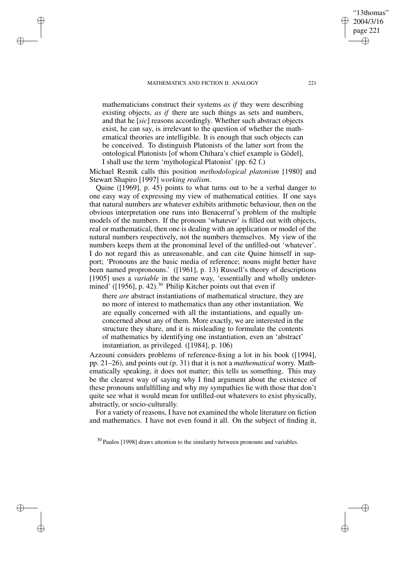✐

✐

✐

✐

mathematicians construct their systems *as if* they were describing existing objects, *as if* there are such things as sets and numbers, and that he [*sic*] reasons accordingly. Whether such abstract objects exist, he can say, is irrelevant to the question of whether the mathematical theories are intelligible. It is enough that such objects can be conceived. To distinguish Platonists of the latter sort from the ontological Platonists [of whom Chihara's chief example is Gödel], I shall use the term 'mythological Platonist' (pp. 62 f.)

Michael Resnik calls this position *methodological platonism* [1980] and Stewart Shapiro [1997] *working realism*.

Quine ([1969], p. 45) points to what turns out to be a verbal danger to one easy way of expressing my view of mathematical entities. If one says that natural numbers are whatever exhibits arithmetic behaviour, then on the obvious interpretation one runs into Benacerraf's problem of the multiple models of the numbers. If the pronoun 'whatever' is filled out with objects, real or mathematical, then one is dealing with an application or model of the natural numbers respectively, not the numbers themselves. My view of the numbers keeps them at the pronominal level of the unfilled-out 'whatever'. I do not regard this as unreasonable, and can cite Quine himself in support; 'Pronouns are the basic media of reference; nouns might better have been named propronouns.' ([1961], p. 13) Russell's theory of descriptions [1905] uses a *variable* in the same way, 'essentially and wholly undetermined' ( $[1956]$ , p. 42).<sup>30</sup> Philip Kitcher points out that even if

there *are* abstract instantiations of mathematical structure, they are no more of interest to mathematics than any other instantiation. We are equally concerned with all the instantiations, and equally unconcerned about any of them. More exactly, we are interested in the structure they share, and it is misleading to formulate the contents of mathematics by identifying one instantiation, even an 'abstract' instantiation, as privileged. ([1984], p. 106)

Azzouni considers problems of reference-fixing a lot in his book ([1994], pp. 21–26), and points out (p. 31) that it is not a *mathematical* worry. Mathematically speaking, it does not matter; this tells us something. This may be the clearest way of saying why I find argument about the existence of these pronouns unfulfilling and why my sympathies lie with those that don't quite see what it would mean for unfilled-out whatevers to exist physically, abstractly, or socio-culturally.

For a variety of reasons, I have not examined the whole literature on fiction and mathematics. I have not even found it all. On the subject of finding it,

"13thomas" 2004/3/16 page 221

✐

✐

✐

<sup>&</sup>lt;sup>30</sup> Paulos [1998] draws attention to the similarity between pronouns and variables.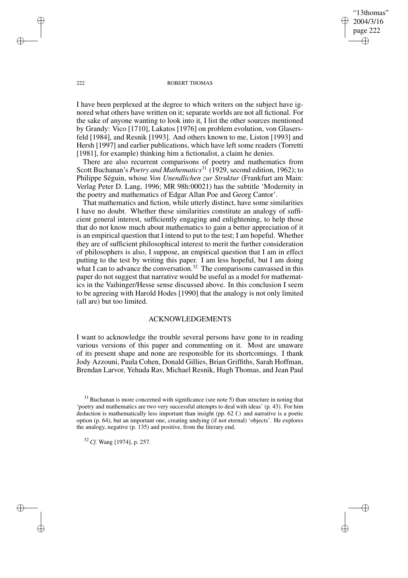"13thomas" 2004/3/16 page 222 ✐ ✐

✐

✐

### 222 ROBERT THOMAS

I have been perplexed at the degree to which writers on the subject have ignored what others have written on it; separate worlds are not all fictional. For the sake of anyone wanting to look into it, I list the other sources mentioned by Grandy: Vico [1710], Lakatos [1976] on problem evolution, von Glasersfeld [1984], and Resnik [1993]. And others known to me, Liston [1993] and Hersh [1997] and earlier publications, which have left some readers (Torretti [1981], for example) thinking him a fictionalist, a claim he denies.

There are also recurrent comparisons of poetry and mathematics from Scott Buchanan's *Poetry and Mathematics*<sup>31</sup> (1929, second edition, 1962); to Philippe Séguin, whose *Von Unendlichen zur Struktur* (Frankfurt am Main: Verlag Peter D. Lang, 1996; MR 98h:00021) has the subtitle 'Modernity in the poetry and mathematics of Edgar Allan Poe and Georg Cantor'.

That mathematics and fiction, while utterly distinct, have some similarities I have no doubt. Whether these similarities constitute an analogy of sufficient general interest, sufficiently engaging and enlightening, to help those that do not know much about mathematics to gain a better appreciation of it is an empirical question that I intend to put to the test; I am hopeful. Whether they are of sufficient philosophical interest to merit the further consideration of philosophers is also, I suppose, an empirical question that I am in effect putting to the test by writing this paper. I am less hopeful, but I am doing what I can to advance the conversation.<sup>32</sup> The comparisons canvassed in this paper do not suggest that narrative would be useful as a model for mathematics in the Vaihinger/Hesse sense discussed above. In this conclusion I seem to be agreeing with Harold Hodes [1990] that the analogy is not only limited (all are) but too limited.

# ACKNOWLEDGEMENTS

I want to acknowledge the trouble several persons have gone to in reading various versions of this paper and commenting on it. Most are unaware of its present shape and none are responsible for its shortcomings. I thank Jody Azzouni, Paula Cohen, Donald Gillies, Brian Griffiths, Sarah Hoffman, Brendan Larvor, Yehuda Rav, Michael Resnik, Hugh Thomas, and Jean Paul

<sup>32</sup> *Cf.* Wang [1974], p. 257.

✐

✐

✐

 $31$  Buchanan is more concerned with significance (see note 5) than structure in noting that 'poetry and mathematics are two very successful attempts to deal with ideas' (p. 43). For him deduction is mathematically less important than insight (pp. 62 f.) and narrative is a poetic option (p. 64), but an important one, creating undying (if not eternal) 'objects'. He explores the analogy, negative (p. 135) and positive, from the literary end.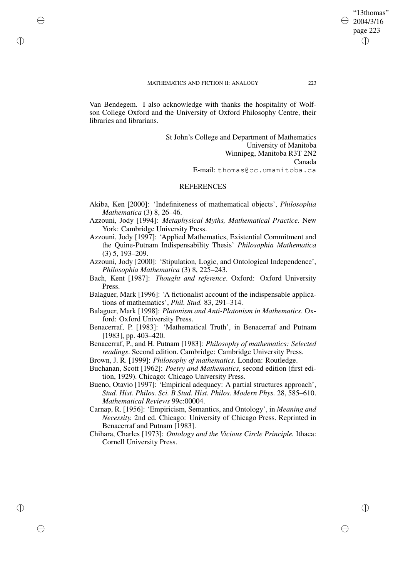✐

✐

✐

✐

Van Bendegem. I also acknowledge with thanks the hospitality of Wolfson College Oxford and the University of Oxford Philosophy Centre, their libraries and librarians.

> St John's College and Department of Mathematics University of Manitoba Winnipeg, Manitoba R3T 2N2 Canada E-mail: thomas@cc.umanitoba.ca

## REFERENCES

- Akiba, Ken [2000]: 'Indefiniteness of mathematical objects', *Philosophia Mathematica* (3) 8, 26–46.
- Azzouni, Jody [1994]: *Metaphysical Myths, Mathematical Practice*. New York: Cambridge University Press.
- Azzouni, Jody [1997]: 'Applied Mathematics, Existential Commitment and the Quine-Putnam Indispensability Thesis' *Philosophia Mathematica* (3) 5, 193–209.
- Azzouni, Jody [2000]: 'Stipulation, Logic, and Ontological Independence', *Philosophia Mathematica* (3) 8, 225–243.
- Bach, Kent [1987]: *Thought and reference*. Oxford: Oxford University Press.
- Balaguer, Mark [1996]: 'A fictionalist account of the indispensable applications of mathematics', *Phil. Stud.* 83, 291–314.
- Balaguer, Mark [1998]: *Platonism and Anti-Platonism in Mathematics*. Oxford: Oxford University Press.
- Benacerraf, P. [1983]: 'Mathematical Truth', in Benacerraf and Putnam [1983], pp. 403–420.
- Benacerraf, P., and H. Putnam [1983]: *Philosophy of mathematics: Selected readings*. Second edition. Cambridge: Cambridge University Press.
- Brown, J. R. [1999]: *Philosophy of mathematics.* London: Routledge.
- Buchanan, Scott [1962]: *Poetry and Mathematics*, second edition (first edition, 1929). Chicago: Chicago University Press.
- Bueno, Otavio [1997]: 'Empirical adequacy: A partial structures approach', *Stud. Hist. Philos. Sci. B Stud. Hist. Philos. Modern Phys.* 28, 585–610. *Mathematical Reviews* 99c:00004.
- Carnap, R. [1956]: 'Empiricism, Semantics, and Ontology', in *Meaning and Necessity.* 2nd ed. Chicago: University of Chicago Press. Reprinted in Benacerraf and Putnam [1983].
- Chihara, Charles [1973]: *Ontology and the Vicious Circle Principle.* Ithaca: Cornell University Press.

"13thomas" 2004/3/16 page 223

✐

✐

✐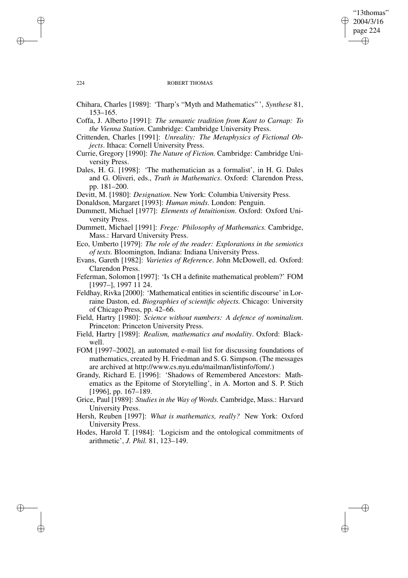# "13thomas" 2004/3/16 page 224 ✐ ✐

✐

✐

#### 224 ROBERT THOMAS

- Chihara, Charles [1989]: 'Tharp's "Myth and Mathematics" ', *Synthese* 81, 153–165.
- Coffa, J. Alberto [1991]: *The semantic tradition from Kant to Carnap: To the Vienna Station*. Cambridge: Cambridge University Press.
- Crittenden, Charles [1991]: *Unreality: The Metaphysics of Fictional Objects*. Ithaca: Cornell University Press.
- Currie, Gregory [1990]: *The Nature of Fiction.* Cambridge: Cambridge University Press.
- Dales, H. G. [1998]: 'The mathematician as a formalist', in H. G. Dales and G. Oliveri, eds., *Truth in Mathematics*. Oxford: Clarendon Press, pp. 181–200.
- Devitt, M. [1980]: *Designation*. New York: Columbia University Press.
- Donaldson, Margaret [1993]: *Human minds*. London: Penguin.
- Dummett, Michael [1977]: *Elements of Intuitionism*. Oxford: Oxford University Press.
- Dummett, Michael [1991]: *Frege: Philosophy of Mathematics.* Cambridge, Mass.: Harvard University Press.
- Eco, Umberto [1979]: *The role of the reader: Explorations in the semiotics of texts.* Bloomington, Indiana: Indiana University Press.
- Evans, Gareth [1982]: *Varieties of Reference*. John McDowell, ed. Oxford: Clarendon Press.
- Feferman, Solomon [1997]: 'Is CH a definite mathematical problem?' FOM [1997–], 1997 11 24.
- Feldhay, Rivka [2000]: 'Mathematical entities in scientific discourse' in Lorraine Daston, ed. *Biographies of scientific objects.* Chicago: University of Chicago Press, pp. 42–66.
- Field, Hartry [1980]: *Science without numbers: A defence of nominalism*. Princeton: Princeton University Press.
- Field, Hartry [1989]: *Realism, mathematics and modality*. Oxford: Blackwell.
- FOM [1997–2002], an automated e-mail list for discussing foundations of mathematics, created by H. Friedman and S. G. Simpson. (The messages are archived at http://www.cs.nyu.edu/mailman/listinfo/fom/.)
- Grandy, Richard E. [1996]: 'Shadows of Remembered Ancestors: Mathematics as the Epitome of Storytelling', in A. Morton and S. P. Stich [1996], pp. 167-189.
- Grice, Paul [1989]: *Studies in the Way of Words.* Cambridge, Mass.: Harvard University Press.
- Hersh, Reuben [1997]: *What is mathematics, really?* New York: Oxford University Press.
- Hodes, Harold T. [1984]: 'Logicism and the ontological commitments of arithmetic', *J. Phil.* 81, 123–149.

✐

✐

✐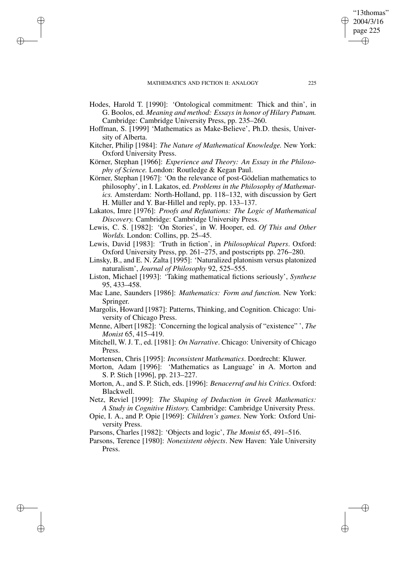✐

✐

✐

✐

- Hodes, Harold T. [1990]: 'Ontological commitment: Thick and thin', in G. Boolos, ed. *Meaning and method: Essays in honor of Hilary Putnam.* Cambridge: Cambridge University Press, pp. 235–260.
- Hoffman, S. [1999] 'Mathematics as Make-Believe', Ph.D. thesis, University of Alberta.
- Kitcher, Philip [1984]: *The Nature of Mathematical Knowledge.* New York: Oxford University Press.
- Körner, Stephan [1966]: *Experience and Theory: An Essay in the Philosophy of Science.* London: Routledge & Kegan Paul.
- Körner, Stephan [1967]: 'On the relevance of post-Gödelian mathematics to philosophy', in I. Lakatos, ed. *Problems in the Philosophy of Mathematics.* Amsterdam: North-Holland, pp. 118–132, with discussion by Gert H. Müller and Y. Bar-Hillel and reply, pp. 133–137.
- Lakatos, Imre [1976]: *Proofs and Refutations: The Logic of Mathematical Discovery.* Cambridge: Cambridge University Press.
- Lewis, C. S. [1982]: 'On Stories', in W. Hooper, ed. *Of This and Other Worlds.* London: Collins, pp. 25–45.
- Lewis, David [1983]: 'Truth in fiction', in *Philosophical Papers*. Oxford: Oxford University Press, pp. 261–275, and postscripts pp. 276–280.
- Linsky, B., and E. N. Zalta [1995]: 'Naturalized platonism versus platonized naturalism', *Journal of Philosophy* 92, 525–555.
- Liston, Michael [1993]: 'Taking mathematical fictions seriously', *Synthese* 95, 433–458.
- Mac Lane, Saunders [1986]: *Mathematics: Form and function.* New York: Springer.
- Margolis, Howard [1987]: Patterns, Thinking, and Cognition. Chicago: University of Chicago Press.
- Menne, Albert [1982]: 'Concerning the logical analysis of "existence" ', *The Monist* 65, 415–419.
- Mitchell, W. J. T., ed. [1981]: *On Narrative*. Chicago: University of Chicago Press.
- Mortensen, Chris [1995]: *Inconsistent Mathematics*. Dordrecht: Kluwer.
- Morton, Adam [1996]: 'Mathematics as Language' in A. Morton and S. P. Stich [1996], pp. 213–227.
- Morton, A., and S. P. Stich, eds. [1996]: *Benacerraf and his Critics*. Oxford: Blackwell.
- Netz, Reviel [1999]: *The Shaping of Deduction in Greek Mathematics: A Study in Cognitive History.* Cambridge: Cambridge University Press.
- Opie, I. A., and P. Opie [1969]: *Children's games.* New York: Oxford University Press.
- Parsons, Charles [1982]: 'Objects and logic', *The Monist* 65, 491–516.
- Parsons, Terence [1980]: *Nonexistent objects*. New Haven: Yale University Press.

"13thomas" 2004/3/16 page 225

✐

✐

✐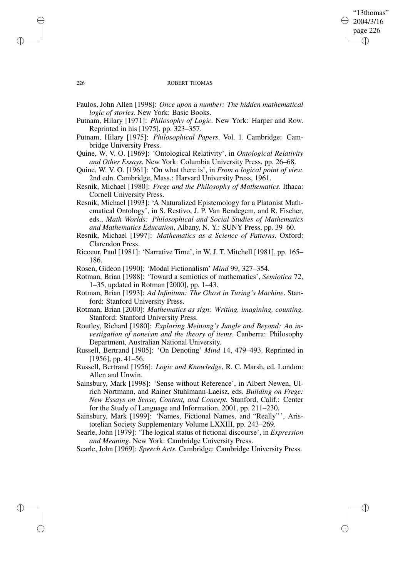# "13thomas" 2004/3/16 page 226 ✐ ✐

✐

✐

### 226 ROBERT THOMAS

- Paulos, John Allen [1998]: *Once upon a number: The hidden mathematical logic of stories.* New York: Basic Books.
- Putnam, Hilary [1971]: *Philosophy of Logic.* New York: Harper and Row. Reprinted in his [1975], pp. 323–357.
- Putnam, Hilary [1975]: *Philosophical Papers*. Vol. 1. Cambridge: Cambridge University Press.
- Quine, W. V. O. [1969]: 'Ontological Relativity', in *Ontological Relativity and Other Essays.* New York: Columbia University Press, pp. 26–68.
- Quine, W. V. O. [1961]: 'On what there is', in *From a logical point of view.* 2nd edn. Cambridge, Mass.: Harvard University Press, 1961.
- Resnik, Michael [1980]: *Frege and the Philosophy of Mathematics*. Ithaca: Cornell University Press.
- Resnik, Michael [1993]: 'A Naturalized Epistemology for a Platonist Mathematical Ontology', in S. Restivo, J. P. Van Bendegem, and R. Fischer, eds., *Math Worlds: Philosophical and Social Studies of Mathematics and Mathematics Education*, Albany, N. Y.: SUNY Press, pp. 39–60.
- Resnik, Michael [1997]: *Mathematics as a Science of Patterns*. Oxford: Clarendon Press.
- Ricoeur, Paul [1981]: 'Narrative Time', in W. J. T. Mitchell [1981], pp. 165– 186.
- Rosen, Gideon [1990]: 'Modal Fictionalism' *Mind* 99, 327–354.
- Rotman, Brian [1988]: 'Toward a semiotics of mathematics', *Semiotica* 72, 1–35, updated in Rotman [2000], pp. 1–43.
- Rotman, Brian [1993]: *Ad Infinitum: The Ghost in Turing's Machine*. Stanford: Stanford University Press.
- Rotman, Brian [2000]: *Mathematics as sign: Writing, imagining, counting.* Stanford: Stanford University Press.
- Routley, Richard [1980]: *Exploring Meinong's Jungle and Beyond: An investigation of noneism and the theory of items*. Canberra: Philosophy Department, Australian National University.
- Russell, Bertrand [1905]: 'On Denoting' *Mind* 14, 479–493. Reprinted in [1956], pp. 41–56.
- Russell, Bertrand [1956]: *Logic and Knowledge*, R. C. Marsh, ed. London: Allen and Unwin.
- Sainsbury, Mark [1998]: 'Sense without Reference', in Albert Newen, Ulrich Nortmann, and Rainer Stuhlmann-Laeisz, eds. *Building on Frege: New Essays on Sense, Content, and Concept.* Stanford, Calif.: Center for the Study of Language and Information, 2001, pp. 211–230.
- Sainsbury, Mark [1999]: 'Names, Fictional Names, and "Really" ', Aristotelian Society Supplementary Volume LXXIII, pp. 243–269.
- Searle, John [1979]: 'The logical status of fictional discourse', in *Expression and Meaning*. New York: Cambridge University Press.

Searle, John [1969]: *Speech Acts*. Cambridge: Cambridge University Press.

✐

✐

✐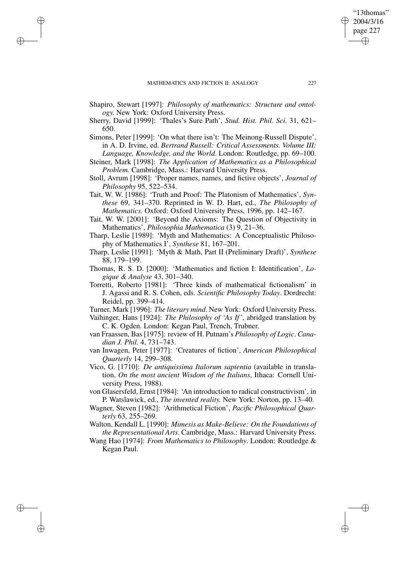✐

✐

✐

✐

- Shapiro, Stewart [1997]: *Philosophy of mathematics: Structure and ontology.* New York: Oxford University Press.
- Sherry, David [1999]: 'Thales's Sure Path', *Stud. Hist. Phil. Sci.* 31, 621– 650.
- Simons, Peter [1999]: 'On what there isn't: The Meinong-Russell Dispute', in A. D. Irvine, ed. *Bertrand Russell: Critical Assessments. Volume III: Language, Knowledge, and the World*. London: Routledge, pp. 69–100.
- Steiner, Mark [1998]: *The Application of Mathematics as a Philosophical Problem.* Cambridge, Mass.: Harvard University Press.
- Stoll, Avrum [1998]: 'Proper names, names, and fictive objects', *Journal of Philosophy* 95, 522–534.
- Tait, W. W. [1986]: 'Truth and Proof: The Platonism of Mathematics', *Synthese* 69, 341–370. Reprinted in W. D. Hart, ed., *The Philosophy of Mathematics.* Oxford: Oxford University Press, 1996, pp. 142–167.
- Tait, W. W. [2001]: 'Beyond the Axioms: The Question of Objectivity in Mathematics', *Philosophia Mathematica* (3) 9, 21–36.
- Tharp, Leslie [1989]: 'Myth and Mathematics: A Conceptualistic Philosophy of Mathematics I', *Synthese* 81, 167–201.
- Tharp, Leslie [1991]: 'Myth & Math, Part II (Preliminary Draft)', *Synthese* 88, 179–199.
- Thomas, R. S. D. [2000]: 'Mathematics and fiction I: Identification', *Logique & Analyse* 43, 301–340.
- Torretti, Roberto [1981]: 'Three kinds of mathematical fictionalism' in J. Agassi and R. S. Cohen, eds. *Scientific Philosophy Today*. Dordrecht: Reidel, pp. 399–414.
- Turner, Mark [1996]: *The literary mind*. New York: Oxford University Press.
- Vaihinger, Hans [1924]: *The Philosophy of 'As If'*, abridged translation by C. K. Ogden. London: Kegan Paul, Trench, Trubner.
- van Fraassen, Bas [1975]: review of H. Putnam's *Philosophy of Logic*. *Canadian J. Phil.* 4, 731–743.
- van Inwagen, Peter [1977]: 'Creatures of fiction', *American Philosophical Quarterly* 14, 299–308.
- Vico, G. [1710]: *De antiquissima Italorum sapientia* (available in translation, *On the most ancient Wisdom of the Italians*, Ithaca: Cornell University Press, 1988).
- von Glasersfeld, Ernst [1984]: 'An introduction to radical constructivism', in P. Watslawick, ed., *The invented reality.* New York: Norton, pp. 13–40.
- Wagner, Steven [1982]: 'Arithmetical Fiction', *Pacific Philosophical Quarterly* 63, 255–269.

Walton, Kendall L. [1990]: *Mimesis as Make-Believe: On the Foundations of the Representational Arts*. Cambridge, Mass.: Harvard University Press.

Wang Hao [1974]: *From Mathematics to Philosophy*. London: Routledge & Kegan Paul.

"13thomas" 2004/3/16 page 227

✐

✐

✐